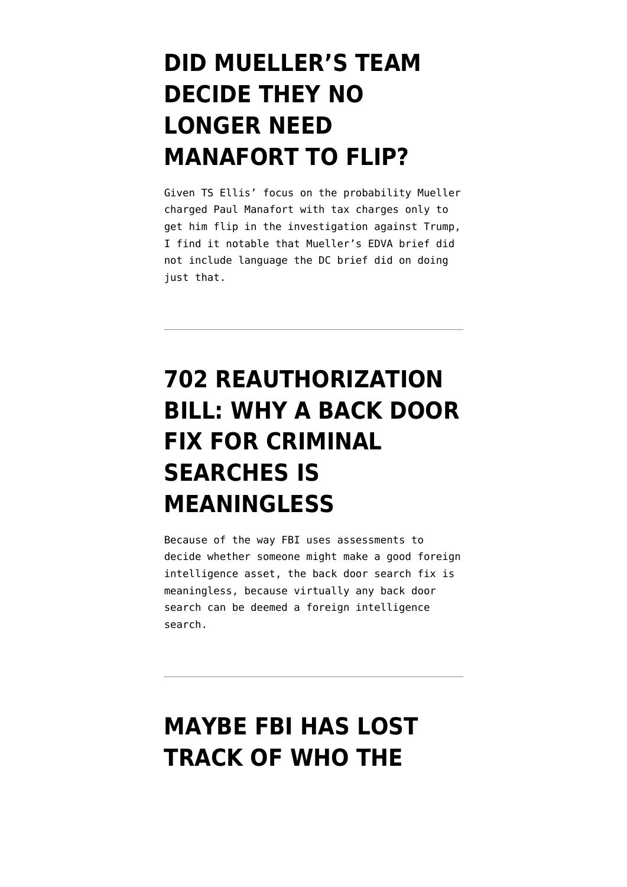# **[DID MUELLER'S TEAM](https://www.emptywheel.net/2018/05/06/did-muellers-team-decide-they-no-longer-need-manafort-to-flip/) [DECIDE THEY NO](https://www.emptywheel.net/2018/05/06/did-muellers-team-decide-they-no-longer-need-manafort-to-flip/) [LONGER NEED](https://www.emptywheel.net/2018/05/06/did-muellers-team-decide-they-no-longer-need-manafort-to-flip/) [MANAFORT TO FLIP?](https://www.emptywheel.net/2018/05/06/did-muellers-team-decide-they-no-longer-need-manafort-to-flip/)**

Given TS Ellis' focus on the probability Mueller charged Paul Manafort with tax charges only to get him flip in the investigation against Trump, I find it notable that Mueller's EDVA brief did not include language the DC brief did on doing just that.

# **[702 REAUTHORIZATION](https://www.emptywheel.net/2017/10/05/702-reauthorization-bill-why-a-criminal-prohibition-on-back-door-searches-is-meaningless/) [BILL: WHY A BACK DOOR](https://www.emptywheel.net/2017/10/05/702-reauthorization-bill-why-a-criminal-prohibition-on-back-door-searches-is-meaningless/) [FIX FOR CRIMINAL](https://www.emptywheel.net/2017/10/05/702-reauthorization-bill-why-a-criminal-prohibition-on-back-door-searches-is-meaningless/) [SEARCHES IS](https://www.emptywheel.net/2017/10/05/702-reauthorization-bill-why-a-criminal-prohibition-on-back-door-searches-is-meaningless/) [MEANINGLESS](https://www.emptywheel.net/2017/10/05/702-reauthorization-bill-why-a-criminal-prohibition-on-back-door-searches-is-meaningless/)**

Because of the way FBI uses assessments to decide whether someone might make a good foreign intelligence asset, the back door search fix is meaningless, because virtually any back door search can be deemed a foreign intelligence search.

# **[MAYBE FBI HAS LOST](https://www.emptywheel.net/2016/08/12/maybe-fbi-has-lost-track-of-who-the-informants-are/) [TRACK OF WHO THE](https://www.emptywheel.net/2016/08/12/maybe-fbi-has-lost-track-of-who-the-informants-are/)**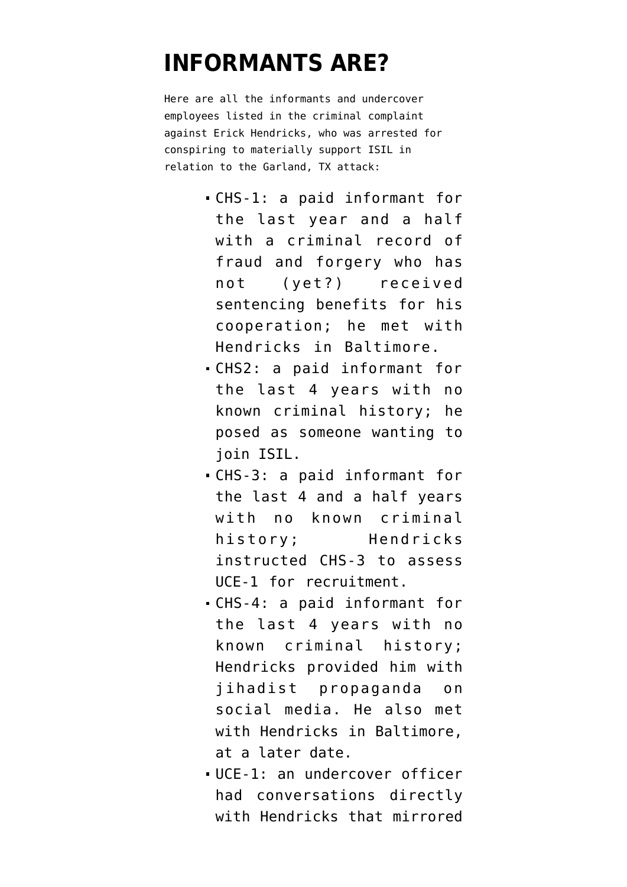## **[INFORMANTS ARE?](https://www.emptywheel.net/2016/08/12/maybe-fbi-has-lost-track-of-who-the-informants-are/)**

Here are all the informants and undercover employees listed in the [criminal complaint](https://www.documentcloud.org/documents/3005346-Garland-Affidavit.html) against Erick Hendricks, who was arrested for conspiring to materially support ISIL in relation to the Garland, TX attack:

- CHS-1: a paid informant for the last year and a half with a criminal record of fraud and forgery who has not (yet?) received sentencing benefits for his cooperation; he met with Hendricks in Baltimore.
- CHS2: a paid informant for the last 4 years with no known criminal history; he posed as someone wanting to join ISIL.
- CHS-3: a paid informant for the last 4 and a half years with no known criminal history; Hendricks instructed CHS-3 to assess UCE-1 for recruitment.
- CHS-4: a paid informant for the last 4 years with no known criminal history; Hendricks provided him with jihadist propaganda on social media. He also met with Hendricks in Baltimore, at a later date.
- UCE-1: an undercover officer had conversations directly with Hendricks that mirrored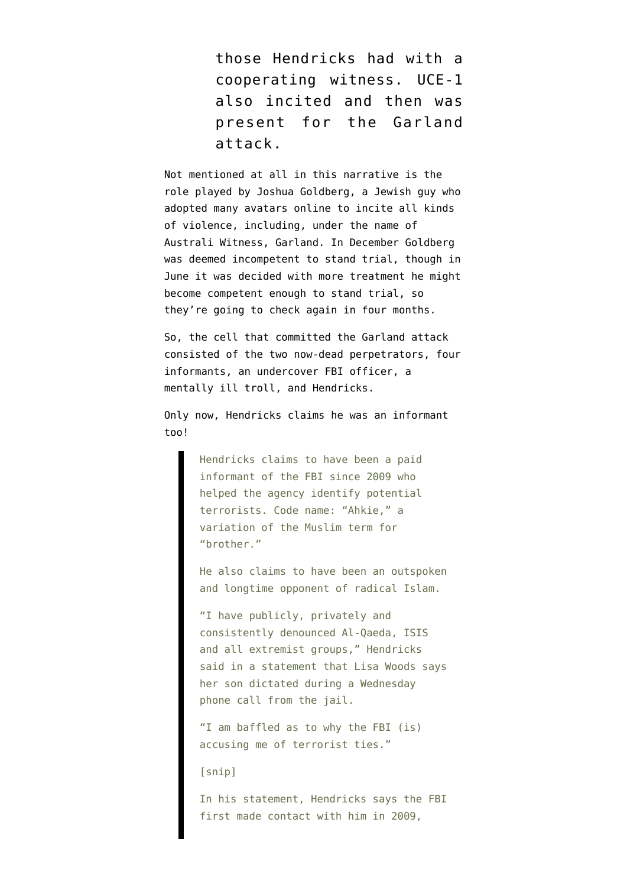those Hendricks had with a cooperating witness. UCE-1 also incited and then was present for the Garland attack.

Not mentioned at all in this narrative is the role played by Joshua Goldberg, a Jewish guy who [adopted many avatars online](http://www.smh.com.au/national/unmasking-a-troll-aussie-jihadist-australi-witness-a-20yearold-american-nerd-20150909-gjil47.html) to incite all kinds of violence, including, [under the name of](http://justpaste.it/auswitness) [Australi Witness,](http://justpaste.it/auswitness) Garland. In December Goldberg was [deemed incompetent](https://www.emptywheel.net/2015/12/15/on-intent-mental-health-and-terrorism/) to stand trial, though in June it was [decided](https://www.emptywheel.net/wp-content/uploads/2016/08/160615-Goldberg-Copmetence.pdf) with more treatment he might become competent enough to stand trial, so they're going to check again in four months.

So, the cell that committed the Garland attack consisted of the two now-dead perpetrators, four informants, an undercover FBI officer, a mentally ill troll, and Hendricks.

Only now, Hendricks [claims](http://www.charlotteobserver.com/news/politics-government/article95250762.html) he was an informant too!

> Hendricks claims to have been a paid informant of the FBI since 2009 who helped the agency identify potential terrorists. Code name: "Ahkie," a variation of the Muslim term for "brother."

He also claims to have been an outspoken and longtime opponent of radical Islam.

"I have publicly, privately and consistently denounced Al-Qaeda, ISIS and all extremist groups," Hendricks said in a statement that Lisa Woods says her son dictated during a Wednesday phone call from the jail.

"I am baffled as to why the FBI (is) accusing me of terrorist ties."

[snip]

In his statement, Hendricks says the FBI first made contact with him in 2009,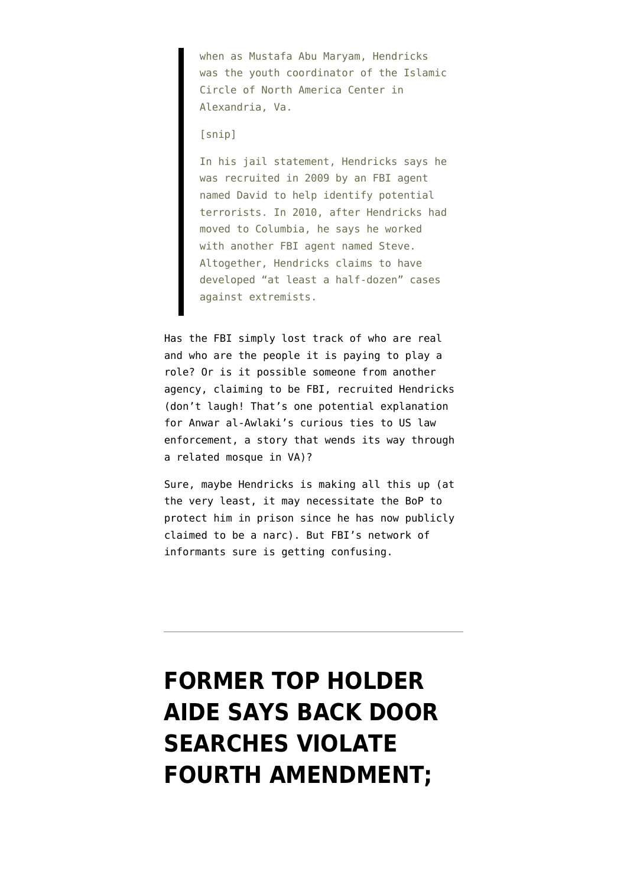when as Mustafa Abu Maryam, Hendricks was the youth coordinator of the Islamic Circle of North America Center in Alexandria, Va.

#### [snip]

In his jail statement, Hendricks says he was recruited in 2009 by an FBI agent named David to help identify potential terrorists. In 2010, after Hendricks had moved to Columbia, he says he worked with another FBI agent named Steve. Altogether, Hendricks claims to have developed "at least a half-dozen" cases against extremists.

Has the FBI simply lost track of who are real and who are the people it is paying to play a role? Or is it possible someone from another agency, claiming to be FBI, recruited Hendricks (don't laugh! That's one potential explanation for Anwar al-Awlaki's curious ties to US law enforcement, a story that wends its way through a related mosque in VA)?

Sure, maybe Hendricks is making all this up (at the very least, it may necessitate the BoP to protect him in prison since he has now publicly claimed to be a narc). But FBI's network of informants sure is getting confusing.

# **[FORMER TOP HOLDER](https://www.emptywheel.net/2016/04/22/former-top-holder-aide-says-back-door-searches-violate-fourth-amendment-fisc-judge-thomas-hogan-doesnt-care/) [AIDE SAYS BACK DOOR](https://www.emptywheel.net/2016/04/22/former-top-holder-aide-says-back-door-searches-violate-fourth-amendment-fisc-judge-thomas-hogan-doesnt-care/) [SEARCHES VIOLATE](https://www.emptywheel.net/2016/04/22/former-top-holder-aide-says-back-door-searches-violate-fourth-amendment-fisc-judge-thomas-hogan-doesnt-care/) [FOURTH AMENDMENT;](https://www.emptywheel.net/2016/04/22/former-top-holder-aide-says-back-door-searches-violate-fourth-amendment-fisc-judge-thomas-hogan-doesnt-care/)**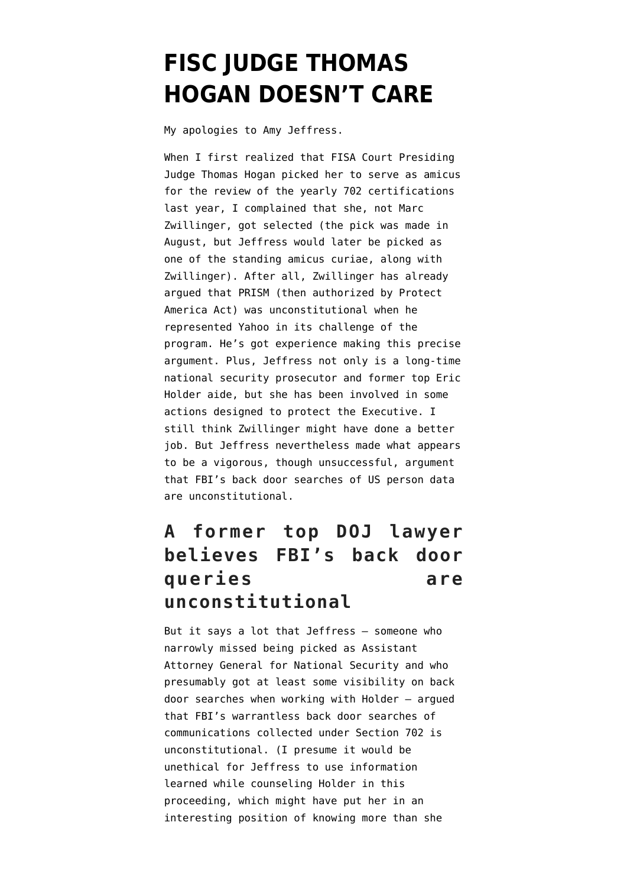## **[FISC JUDGE THOMAS](https://www.emptywheel.net/2016/04/22/former-top-holder-aide-says-back-door-searches-violate-fourth-amendment-fisc-judge-thomas-hogan-doesnt-care/) [HOGAN DOESN'T CARE](https://www.emptywheel.net/2016/04/22/former-top-holder-aide-says-back-door-searches-violate-fourth-amendment-fisc-judge-thomas-hogan-doesnt-care/)**

My apologies to Amy Jeffress.

When I first realized that FISA Court Presiding Judge Thomas Hogan picked her to serve as amicus for the [review](https://www.emptywheel.net/wp-content/uploads/2016/04/151106-702-Reauthorization.pdf) of the yearly 702 certifications last year, I complained that she, not Marc Zwillinger, got selected (the pick was made in August, but Jeffress [would later be picked](https://www.emptywheel.net/2015/11/25/fisc-makes-far-better-amicus-choices-than-i-expected/) as one of the standing amicus curiae, along with Zwillinger). After all, Zwillinger has already argued that PRISM (then authorized by Protect America Act) was unconstitutional when he represented Yahoo in its challenge of the program. He's got experience making this precise argument. Plus, Jeffress not only is a long-time national security prosecutor and former top Eric Holder aide, but she has been [involved in some](https://www.emptywheel.net/2008/08/06/the-anthrax-prosecutor-the-daughter-of-the-defense-attorney-for-bushcos-germ-boy/) [actions](https://www.emptywheel.net/2008/08/06/the-anthrax-prosecutor-the-daughter-of-the-defense-attorney-for-bushcos-germ-boy/) designed to protect the Executive. I still think Zwillinger might have done a better job. But Jeffress nevertheless made what appears to be a vigorous, though unsuccessful, argument that FBI's back door searches of US person data are unconstitutional.

### **A former top DOJ lawyer believes FBI's back door queries are unconstitutional**

But it says a lot that Jeffress — someone who [narrowly missed being picked as Assistant](http://security.blogs.cnn.com/2013/12/11/a-spat-over-justice-department-national-security-job/) [Attorney General](http://security.blogs.cnn.com/2013/12/11/a-spat-over-justice-department-national-security-job/) for National Security and who presumably got at least some visibility on back door searches when working with Holder — argued that FBI's warrantless back door searches of communications collected under Section 702 is unconstitutional. (I presume it would be unethical for Jeffress to use information learned while counseling Holder in this proceeding, which might have put her in an interesting position of knowing more than she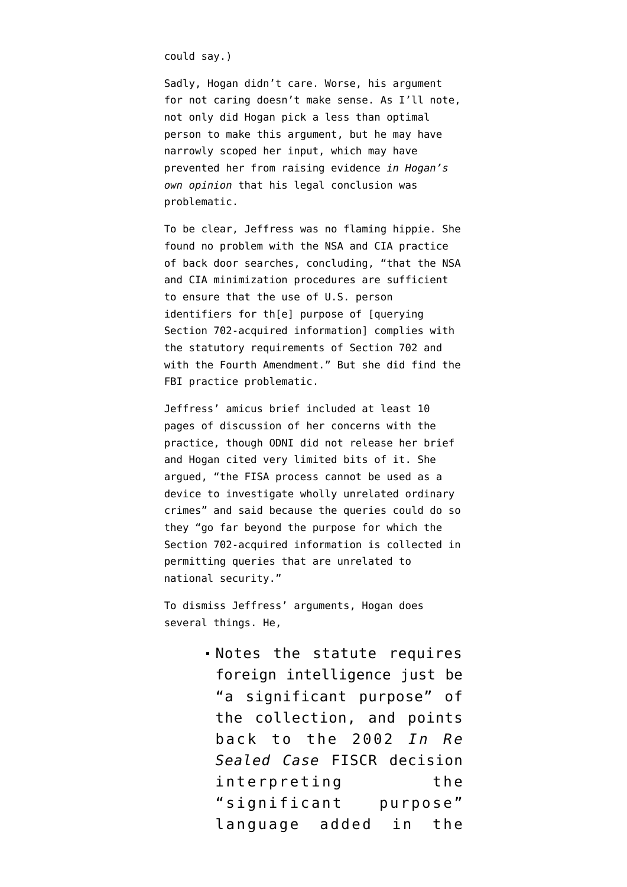could say.)

Sadly, Hogan didn't care. Worse, his argument for not caring doesn't make sense. As I'll note, not only did Hogan pick a less than optimal person to make this argument, but he may have narrowly scoped her input, which may have prevented her from raising evidence *in Hogan's own opinion* that his legal conclusion was problematic.

To be clear, Jeffress was no flaming hippie. She found no problem with the NSA and CIA practice of back door searches, concluding, "that the NSA and CIA minimization procedures are sufficient to ensure that the use of U.S. person identifiers for th[e] purpose of [querying Section 702-acquired information] complies with the statutory requirements of Section 702 and with the Fourth Amendment." But she did find the FBI practice problematic.

Jeffress' amicus brief included at least 10 pages of discussion of her concerns with the practice, though ODNI did not release her brief and Hogan cited very limited bits of it. She argued, "the FISA process cannot be used as a device to investigate wholly unrelated ordinary crimes" and said because the queries could do so they "go far beyond the purpose for which the Section 702-acquired information is collected in permitting queries that are unrelated to national security."

To dismiss Jeffress' arguments, Hogan does several things. He,

> Notes the statute requires foreign intelligence just be "a significant purpose" of the collection, and points back to the 2002 *In Re Sealed Case* FISCR decision interpreting the "significant purpose" language added in the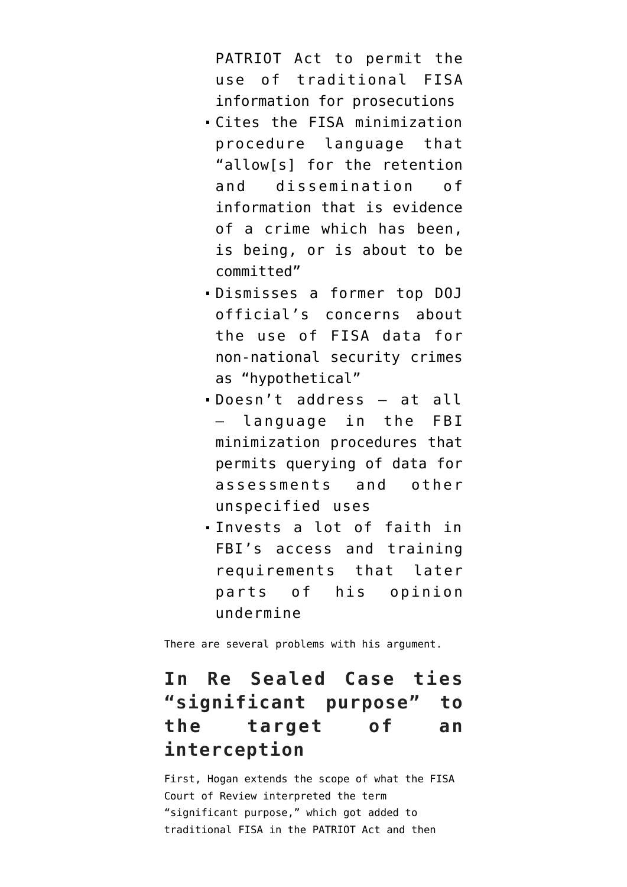PATRIOT Act to permit the use of traditional FISA information for prosecutions

- Cites the FISA minimization procedure language that "allow[s] for the retention and dissemination of information that is evidence of a crime which has been, is being, or is about to be committed"
- Dismisses a former top DOJ official's concerns about the use of FISA data for non-national security crimes as "hypothetical"
- Doesn't address at all — language in the FBI minimization procedures that permits querying of data for assessments and other unspecified uses
- Invests a lot of faith in FBI's access and training requirements that later parts of his opinion undermine

There are several problems with his argument.

### **In Re Sealed Case ties "significant purpose" to the target of an interception**

First, Hogan extends the scope of what the FISA Court of Review interpreted the term "significant purpose," which got added to traditional FISA in the PATRIOT Act and then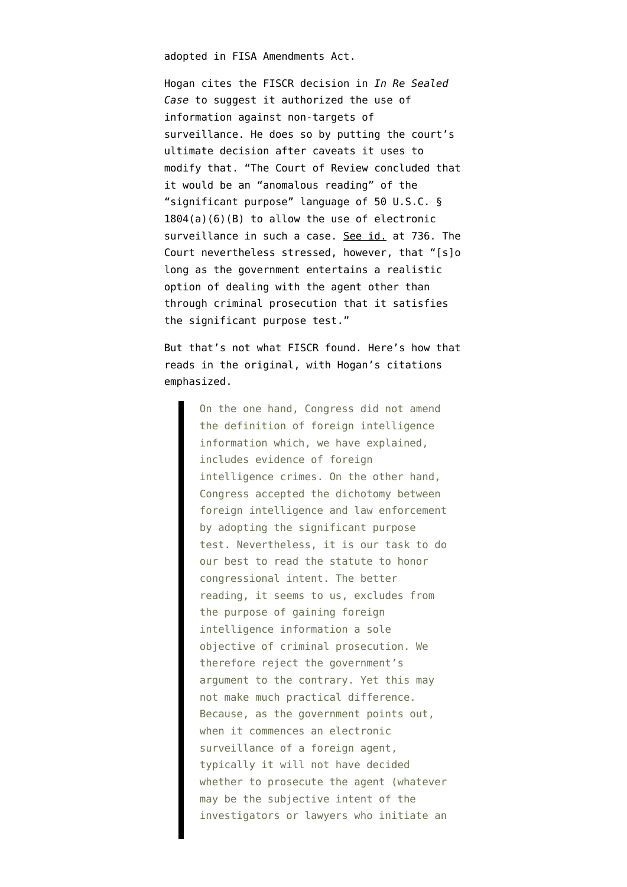adopted in FISA Amendments Act.

Hogan cites the FISCR [decision](https://fas.org/irp/agency/doj/fisa/fiscr111802.html) in *In Re Sealed Case* to suggest it authorized the use of information against non-targets of surveillance. He does so by putting the court's ultimate decision after caveats it uses to modify that. "The Court of Review concluded that it would be an "anomalous reading" of the "significant purpose" language of 50 U.S.C. § 1804(a)(6)(B) to allow the use of electronic surveillance in such a case. See id. at 736. The Court nevertheless stressed, however, that "[s]o long as the government entertains a realistic option of dealing with the agent other than through criminal prosecution that it satisfies the significant purpose test."

But that's not what FISCR found. Here's how that reads in the original, with Hogan's citations emphasized.

> On the one hand, Congress did not amend the definition of foreign intelligence information which, we have explained, includes evidence of foreign intelligence crimes. On the other hand, Congress accepted the dichotomy between foreign intelligence and law enforcement by adopting the significant purpose test. Nevertheless, it is our task to do our best to read the statute to honor congressional intent. The better reading, it seems to us, excludes from the purpose of gaining foreign intelligence information a sole objective of criminal prosecution. We therefore reject the government's argument to the contrary. Yet this may not make much practical difference. Because, as the government points out, when it commences an electronic surveillance of a foreign agent, typically it will not have decided whether to prosecute the agent (whatever may be the subjective intent of the investigators or lawyers who initiate an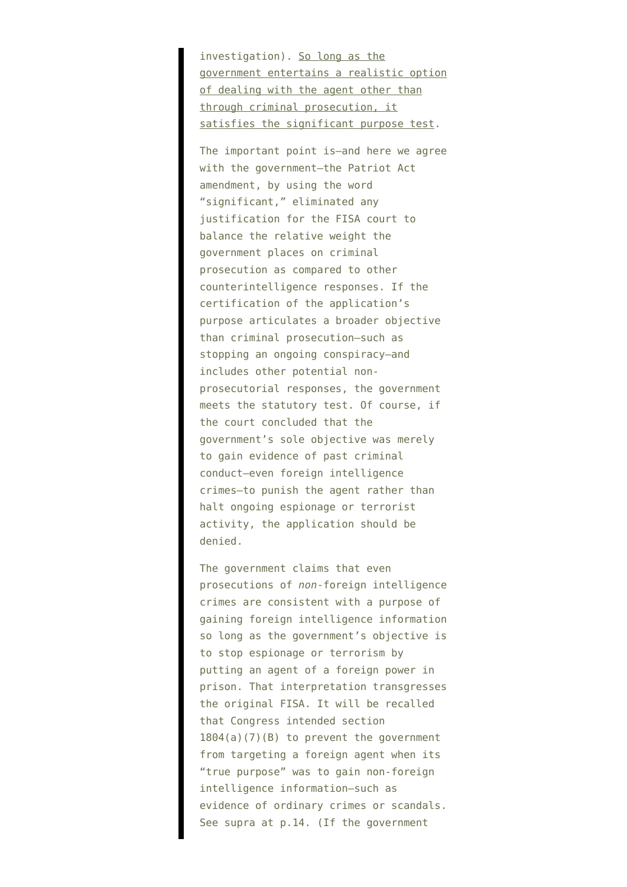investigation). So long as the government entertains a realistic option of dealing with the agent other than through criminal prosecution, it satisfies the significant purpose test.

The important point is–and here we agree with the government–the Patriot Act amendment, by using the word "significant," eliminated any justification for the FISA court to balance the relative weight the government places on criminal prosecution as compared to other counterintelligence responses. If the certification of the application's purpose articulates a broader objective than criminal prosecution–such as stopping an ongoing conspiracy–and includes other potential nonprosecutorial responses, the government meets the statutory test. Of course, if the court concluded that the government's sole objective was merely to gain evidence of past criminal conduct–even foreign intelligence crimes–to punish the agent rather than halt ongoing espionage or terrorist activity, the application should be denied.

The government claims that even prosecutions of *non*-foreign intelligence crimes are consistent with a purpose of gaining foreign intelligence information so long as the government's objective is to stop espionage or terrorism by putting an agent of a foreign power in prison. That interpretation transgresses the original FISA. It will be recalled that Congress intended section  $1804(a)(7)(B)$  to prevent the government from targeting a foreign agent when its "true purpose" was to gain non-foreign intelligence information–such as evidence of ordinary crimes or scandals. See supra at p.14. (If the government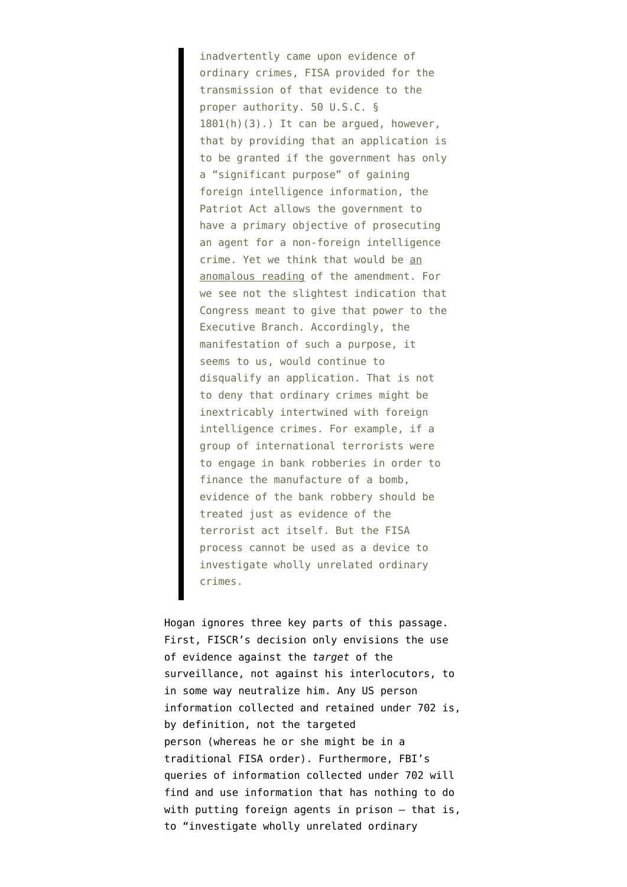inadvertently came upon evidence of ordinary crimes, FISA provided for the transmission of that evidence to the proper authority. 50 U.S.C. §  $1801(h)(3)$ .) It can be arqued, however, that by providing that an application is to be granted if the government has only a "significant purpose" of gaining foreign intelligence information, the Patriot Act allows the government to have a primary objective of prosecuting an agent for a non-foreign intelligence crime. Yet we think that would be an anomalous reading of the amendment. For we see not the slightest indication that Congress meant to give that power to the Executive Branch. Accordingly, the manifestation of such a purpose, it seems to us, would continue to disqualify an application. That is not to deny that ordinary crimes might be inextricably intertwined with foreign intelligence crimes. For example, if a group of international terrorists were to engage in bank robberies in order to finance the manufacture of a bomb, evidence of the bank robbery should be treated just as evidence of the terrorist act itself. But the FISA process cannot be used as a device to investigate wholly unrelated ordinary crimes.

Hogan ignores three key parts of this passage. First, FISCR's decision only envisions the use of evidence against the *target* of the surveillance, not against his interlocutors, to in some way neutralize him. Any US person information collected and retained under 702 is, by definition, not the targeted person (whereas he or she might be in a traditional FISA order). Furthermore, FBI's queries of information collected under 702 will find and use information that has nothing to do with putting foreign agents in prison — that is, to "investigate wholly unrelated ordinary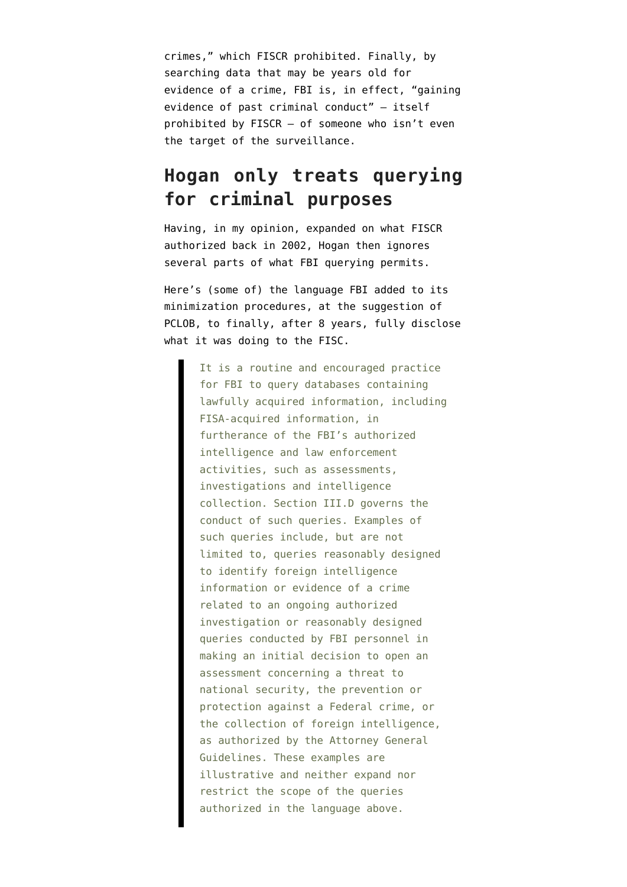crimes," which FISCR prohibited. Finally, by searching data that may be years old for evidence of a crime, FBI is, in effect, "gaining evidence of past criminal conduct" — itself prohibited by FISCR — of someone who isn't even the target of the surveillance.

### **Hogan only treats querying for criminal purposes**

Having, in my opinion, expanded on what FISCR authorized back in 2002, Hogan then ignores several parts of what FBI querying permits.

Here's (some of) the language FBI added to its minimization procedures, at the suggestion of PCLOB, to finally, after 8 years, fully disclose what it was doing to the FISC.

> It is a routine and encouraged practice for FBI to query databases containing lawfully acquired information, including FISA-acquired information, in furtherance of the FBI's authorized intelligence and law enforcement activities, such as assessments, investigations and intelligence collection. Section III.D governs the conduct of such queries. Examples of such queries include, but are not limited to, queries reasonably designed to identify foreign intelligence information or evidence of a crime related to an ongoing authorized investigation or reasonably designed queries conducted by FBI personnel in making an initial decision to open an assessment concerning a threat to national security, the prevention or protection against a Federal crime, or the collection of foreign intelligence, as authorized by the Attorney General Guidelines. These examples are illustrative and neither expand nor restrict the scope of the queries authorized in the language above.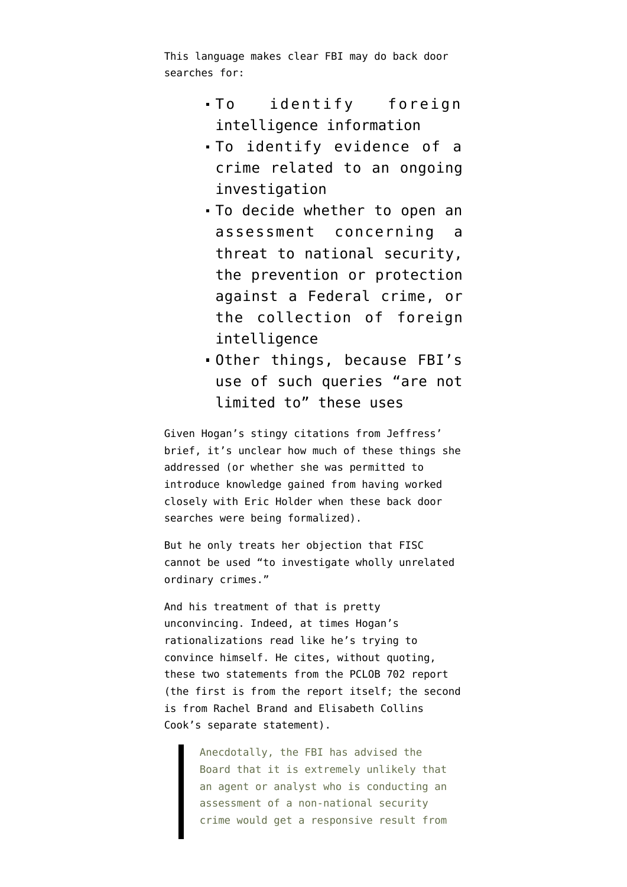This language makes clear FBI may do back door searches for:

- To identify foreign intelligence information
- To identify evidence of a crime related to an ongoing investigation
- To decide whether to open an assessment concerning a threat to national security, the prevention or protection against a Federal crime, or the collection of foreign intelligence
- Other things, because FBI's use of such queries "are not limited to" these uses

Given Hogan's stingy citations from Jeffress' brief, it's unclear how much of these things she addressed (or whether she was permitted to introduce knowledge gained from having worked closely with Eric Holder when these back door searches were being formalized).

But he only treats her objection that FISC cannot be used "to investigate wholly unrelated ordinary crimes."

And his treatment of that is pretty unconvincing. Indeed, at times Hogan's rationalizations read like he's trying to convince himself. He cites, without quoting, [these two statements](https://www.pclob.gov/library/702-Report.pdf) from the PCLOB 702 report (the first is from the report itself; the second is from Rachel Brand and Elisabeth Collins Cook's separate statement).

> Anecdotally, the FBI has advised the Board that it is extremely unlikely that an agent or analyst who is conducting an assessment of a non-national security crime would get a responsive result from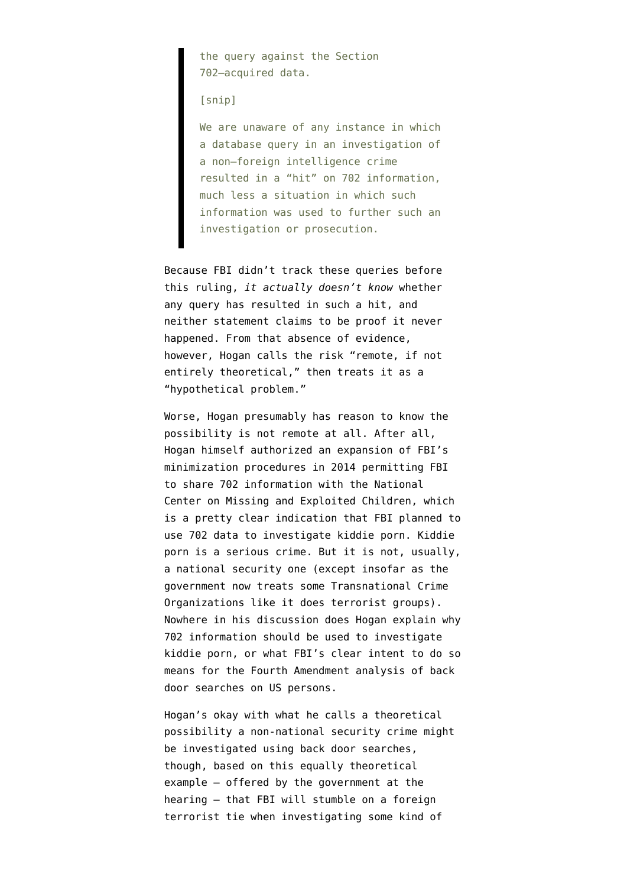the query against the Section 702–acquired data.

#### [snip]

We are unaware of any instance in which a database query in an investigation of a non–foreign intelligence crime resulted in a "hit" on 702 information, much less a situation in which such information was used to further such an investigation or prosecution.

Because FBI didn't track these queries before this ruling, *it actually doesn't know* whether any query has resulted in such a hit, and neither statement claims to be proof it never happened. From that absence of evidence, however, Hogan calls the risk "remote, if not entirely theoretical," then treats it as a "hypothetical problem."

Worse, Hogan presumably has reason to know the possibility is not remote at all. After all, Hogan himself [authorized](https://www.dni.gov/files/documents/0928/FISC%20Memorandum%20Opinion%20and%20Order%2026%20August%202014.pdf) an expansion of FBI's minimization procedures in 2014 permitting FBI to share 702 information with the National Center on Missing and Exploited Children, which is a pretty clear indication that FBI planned to use 702 data to investigate kiddie porn. Kiddie porn is a serious crime. But it is not, usually, a national security one (except insofar as the government now treats some Transnational Crime Organizations like it does terrorist groups). Nowhere in his discussion does Hogan explain why 702 information should be used to investigate kiddie porn, or what FBI's clear intent to do so means for the Fourth Amendment analysis of back door searches on US persons.

Hogan's okay with what he calls a theoretical possibility a non-national security crime might be investigated using back door searches, though, based on this equally theoretical example — offered by the government at the hearing — that FBI will stumble on a foreign terrorist tie when investigating some kind of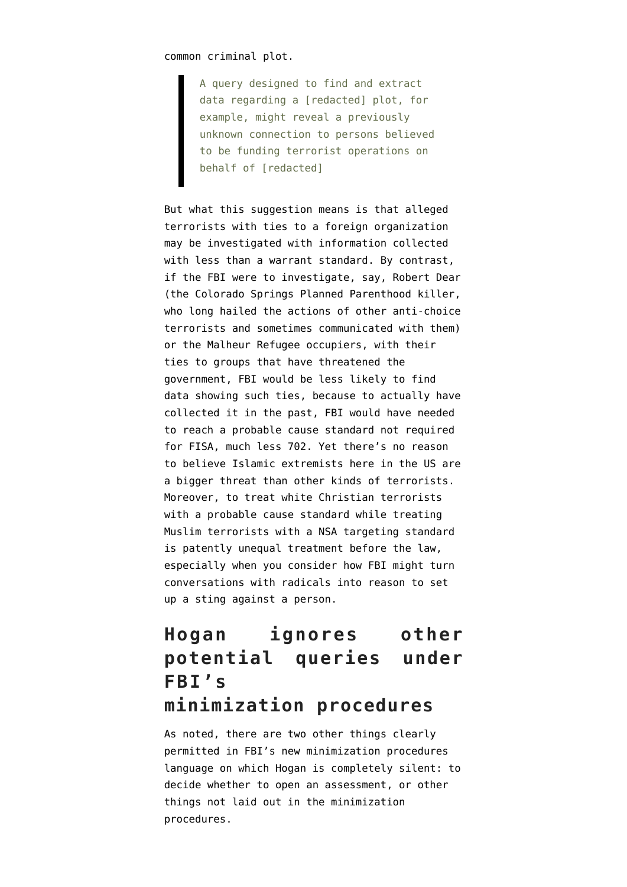common criminal plot.

A query designed to find and extract data regarding a [redacted] plot, for example, might reveal a previously unknown connection to persons believed to be funding terrorist operations on behalf of [redacted]

But what this suggestion means is that alleged terrorists with ties to a foreign organization may be investigated with information collected with less than a warrant standard. By contrast, if the FBI were to investigate, say, Robert Dear (the Colorado Springs Planned Parenthood killer, who long hailed the actions of other anti-choice terrorists and sometimes communicated with them) or the Malheur Refugee occupiers, with their ties to groups that have threatened the government, FBI would be less likely to find data showing such ties, because to actually have collected it in the past, FBI would have needed to reach a probable cause standard not required for FISA, much less 702. Yet there's no reason to believe Islamic extremists here in the US are a bigger threat than other kinds of terrorists. Moreover, to treat white Christian terrorists with a probable cause standard while treating Muslim terrorists with a NSA targeting standard is patently unequal treatment before the law, especially when you consider how FBI might turn conversations with radicals into reason to set up a sting against a person.

### **Hogan ignores other potential queries under FBI's minimization procedures**

As noted, there are two other things clearly permitted in FBI's new minimization procedures language on which Hogan is completely silent: to decide whether to open an assessment, or other things not laid out in the minimization procedures.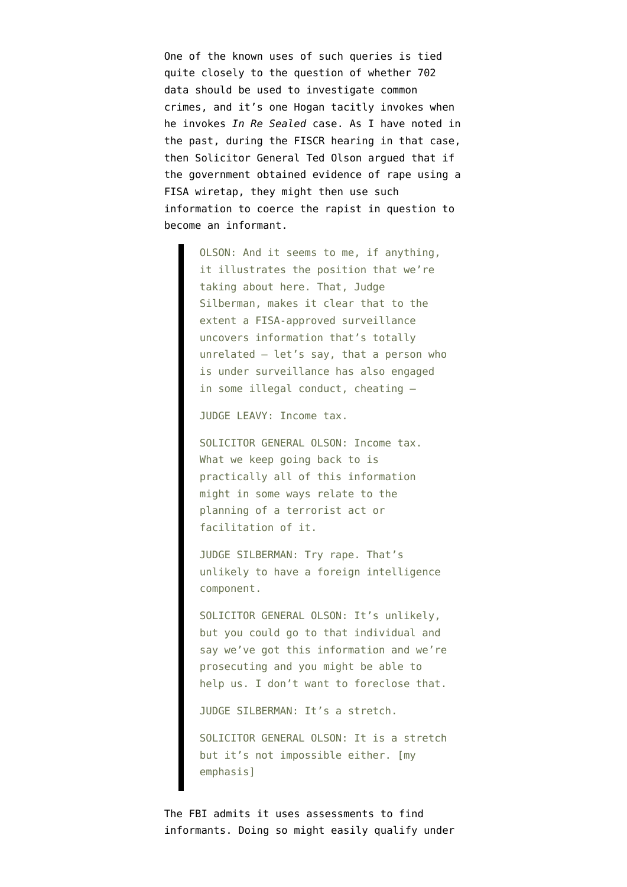One of the known uses of such queries is tied quite closely to the question of whether 702 data should be used to investigate common crimes, and it's one Hogan tacitly invokes when he invokes *In Re Sealed* case. As I have [noted](https://www.emptywheel.net/2011/06/07/using-domestic-surveillance-to-get-rapists-to-spy-for-america/) in the past, during the FISCR hearing in that case, then Solicitor General Ted Olson argued that if the government obtained evidence of rape using a FISA wiretap, they might then use such information to coerce the rapist in question to become an informant.

> OLSON: And it seems to me, if anything, it illustrates the position that we're taking about here. That, Judge Silberman, makes it clear that to the extent a FISA-approved surveillance uncovers information that's totally unrelated — let's say, that a person who is under surveillance has also engaged in some illegal conduct, cheating —

JUDGE LEAVY: Income tax.

SOLICITOR GENERAL OLSON: Income tax. What we keep going back to is practically all of this information might in some ways relate to the planning of a terrorist act or facilitation of it.

JUDGE SILBERMAN: Try rape. That's unlikely to have a foreign intelligence component.

SOLICITOR GENERAL OLSON: It's unlikely, but you could go to that individual and say we've got this information and we're prosecuting and you might be able to help us. I don't want to foreclose that.

JUDGE SILBERMAN: It's a stretch.

SOLICITOR GENERAL OLSON: It is a stretch but it's not impossible either. [my emphasis]

The FBI admits it uses assessments to find informants. Doing so might easily qualify under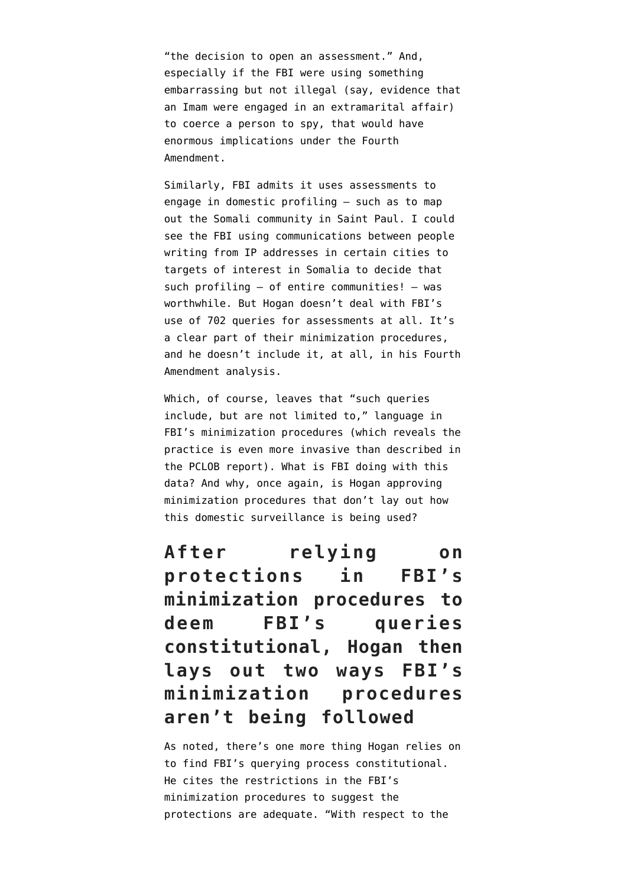"the decision to open an assessment." And, especially if the FBI were using something embarrassing but not illegal (say, evidence that an Imam were engaged in an extramarital affair) to coerce a person to spy, that would have enormous implications under the Fourth Amendment.

Similarly, FBI admits it uses assessments to engage in domestic profiling — such as to map out the Somali community in Saint Paul. I could see the FBI using communications between people writing from IP addresses in certain cities to targets of interest in Somalia to decide that such profiling — of entire communities! — was worthwhile. But Hogan doesn't deal with FBI's use of 702 queries for assessments at all. It's a clear part of their minimization procedures, and he doesn't include it, at all, in his Fourth Amendment analysis.

Which, of course, leaves that "such queries include, but are not limited to," language in FBI's minimization procedures (which reveals the practice is even more invasive than described in the PCLOB report). What is FBI doing with this data? And why, [once again,](https://www.emptywheel.net/2016/04/20/fbis-back-door-searches-explicit-permission-and-before-that/) is Hogan approving minimization procedures that don't lay out how this domestic surveillance is being used?

**After relying on protections in FBI's minimization procedures to deem FBI's queries constitutional, Hogan then lays out two ways FBI's minimization procedures aren't being followed**

As noted, there's one more thing Hogan relies on to find FBI's querying process constitutional. He cites the restrictions in the FBI's minimization procedures to suggest the protections are adequate. "With respect to the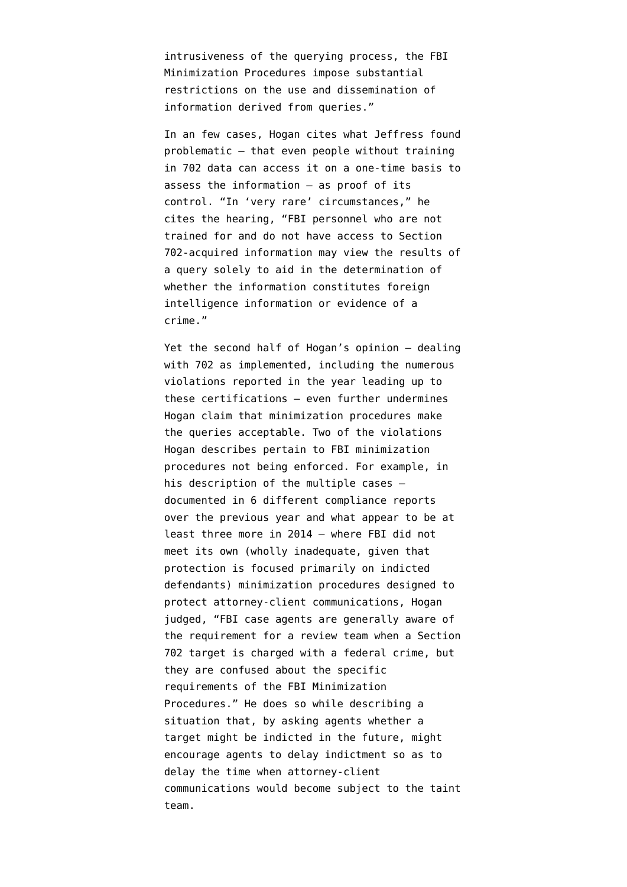intrusiveness of the querying process, the FBI Minimization Procedures impose substantial restrictions on the use and dissemination of information derived from queries."

In an few cases, Hogan cites what Jeffress found problematic — that even people without training in 702 data can access it on a one-time basis to assess the information — as proof of its control. "In 'very rare' circumstances," he cites the hearing, "FBI personnel who are not trained for and do not have access to Section 702-acquired information may view the results of a query solely to aid in the determination of whether the information constitutes foreign intelligence information or evidence of a crime."

Yet the second half of Hogan's opinion — dealing with 702 as implemented, including the numerous violations reported in the year leading up to these certifications — even further undermines Hogan claim that minimization procedures make the queries acceptable. Two of the violations Hogan describes pertain to FBI minimization procedures not being enforced. For example, in his description of the multiple cases documented in 6 different compliance reports over the previous year and [what appear to be at](https://www.dni.gov/files/documents/0928/Letter%20to%20Judge%20Hogan%2030%20July%202014.pdf) [least three more in 2014](https://www.dni.gov/files/documents/0928/Letter%20to%20Judge%20Hogan%2030%20July%202014.pdf) — where FBI did not meet its own (wholly inadequate, given that protection is focused primarily on indicted defendants) minimization procedures designed to protect attorney-client communications, Hogan judged, "FBI case agents are generally aware of the requirement for a review team when a Section 702 target is charged with a federal crime, but they are confused about the specific requirements of the FBI Minimization Procedures." He does so while describing a situation that, by asking agents whether a target might be indicted in the future, might encourage agents to delay indictment so as to delay the time when attorney-client communications would become subject to the taint team.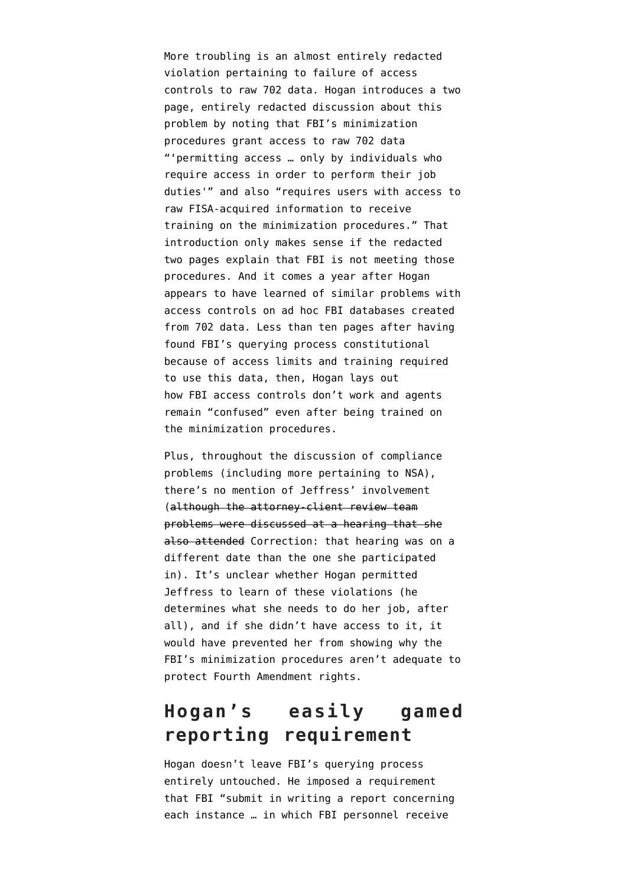More troubling is an almost entirely redacted violation pertaining to failure of access controls to raw 702 data. Hogan introduces a two page, entirely redacted discussion about this problem by noting that FBI's minimization procedures grant access to raw 702 data "'permitting access … only by individuals who require access in order to perform their job duties'" and also "requires users with access to raw FISA-acquired information to receive training on the minimization procedures." That introduction only makes sense if the redacted two pages explain that FBI is not meeting those procedures. And it comes a year after Hogan [appears to have learned of similar problems](https://www.dni.gov/files/documents/0928/Letter%20to%20Judge%20Hogan%2030%20July%202014.pdf) with access controls on ad hoc FBI databases created from 702 data. Less than ten pages after having found FBI's querying process constitutional because of access limits and training required to use this data, then, Hogan lays out how FBI access controls don't work and agents remain "confused" even after being trained on the minimization procedures.

Plus, throughout the discussion of compliance problems (including more pertaining to NSA), there's no mention of Jeffress' involvement (although the attorney-client review team problems were discussed at a hearing that she also attended Correction: that hearing was on a different date than the one she participated in). It's unclear whether Hogan permitted Jeffress to learn of these violations (he determines what she needs to do her job, after all), and if she didn't have access to it, it would have prevented her from showing why the FBI's minimization procedures aren't adequate to protect Fourth Amendment rights.

### **Hogan's easily gamed reporting requirement**

Hogan doesn't leave FBI's querying process entirely untouched. He imposed a requirement that FBI "submit in writing a report concerning each instance … in which FBI personnel receive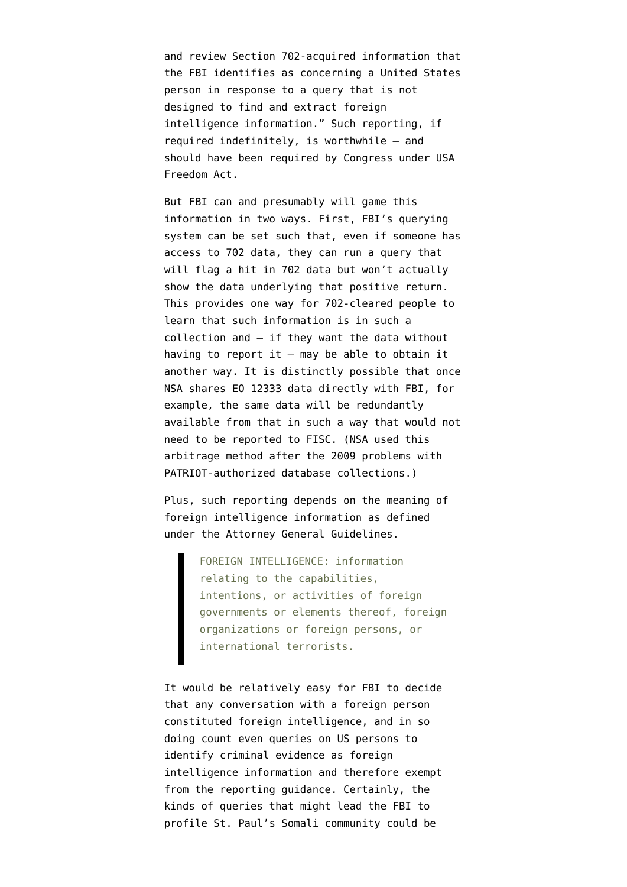and review Section 702-acquired information that the FBI identifies as concerning a United States person in response to a query that is not designed to find and extract foreign intelligence information." Such reporting, if required indefinitely, is worthwhile — and should have been required by Congress under USA Freedom Act.

But FBI can and presumably will game this information in two ways. First, FBI's querying system can be set such that, even if someone has access to 702 data, they can run a query that will flag a hit in 702 data but won't actually show the data underlying that positive return. This provides one way for 702-cleared people to learn that such information is in such a collection and — if they want the data without having to report it  $-$  may be able to obtain it another way. It is distinctly possible that once NSA shares EO 12333 data directly with FBI, for example, the same data will be redundantly available from that in such a way that would not need to be reported to FISC. (NSA used this arbitrage method after the 2009 problems with PATRIOT-authorized database collections.)

Plus, such reporting depends on the meaning of foreign intelligence information as defined under the [Attorney General Guidelines](https://www.justice.gov/archive/opa/docs/guidelines.pdf).

> FOREIGN INTELLIGENCE: information relating to the capabilities, intentions, or activities of foreign governments or elements thereof, foreign organizations or foreign persons, or international terrorists.

It would be relatively easy for FBI to decide that any conversation with a foreign person constituted foreign intelligence, and in so doing count even queries on US persons to identify criminal evidence as foreign intelligence information and therefore exempt from the reporting guidance. Certainly, the kinds of queries that might lead the FBI to profile St. Paul's Somali community could be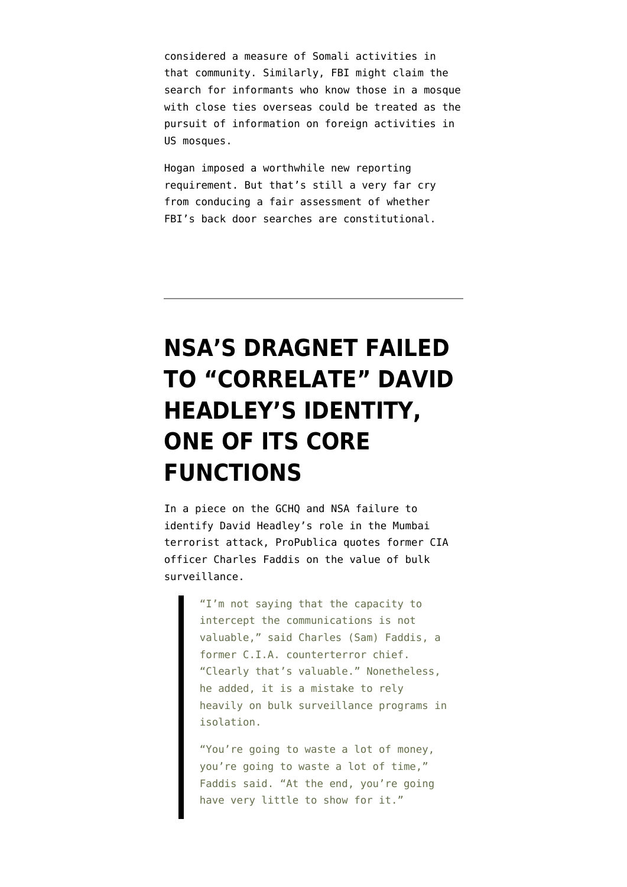considered a measure of Somali activities in that community. Similarly, FBI might claim the search for informants who know those in a mosque with close ties overseas could be treated as the pursuit of information on foreign activities in US mosques.

Hogan imposed a worthwhile new reporting requirement. But that's still a very far cry from conducing a fair assessment of whether FBI's back door searches are constitutional.

# **[NSA'S DRAGNET FAILED](https://www.emptywheel.net/2015/04/21/nsas-dragnet-even-failed-to-correlate-david-headleys-identity/) [TO "CORRELATE" DAVID](https://www.emptywheel.net/2015/04/21/nsas-dragnet-even-failed-to-correlate-david-headleys-identity/) [HEADLEY'S IDENTITY,](https://www.emptywheel.net/2015/04/21/nsas-dragnet-even-failed-to-correlate-david-headleys-identity/) [ONE OF ITS CORE](https://www.emptywheel.net/2015/04/21/nsas-dragnet-even-failed-to-correlate-david-headleys-identity/) [FUNCTIONS](https://www.emptywheel.net/2015/04/21/nsas-dragnet-even-failed-to-correlate-david-headleys-identity/)**

In a [piece](http://www.propublica.org/article/the-hidden-intelligence-breakdowns-behind-the-mumbai-attacks?utm_campaign=sprout&utm_medium=social&utm_source=twitter&utm_content=1429617626) on the GCHQ and NSA failure to identify David Headley's role in the Mumbai terrorist attack, ProPublica quotes former CIA officer [Charles Faddis](http://www.orionstrategicservices.com/content/charles_faddis.php) on the value of bulk surveillance.

> "I'm not saying that the capacity to intercept the communications is not valuable," said Charles (Sam) Faddis, a former C.I.A. counterterror chief. "Clearly that's valuable." Nonetheless, he added, it is a mistake to rely heavily on bulk surveillance programs in isolation.

"You're going to waste a lot of money, you're going to waste a lot of time," Faddis said. "At the end, you're going have very little to show for it."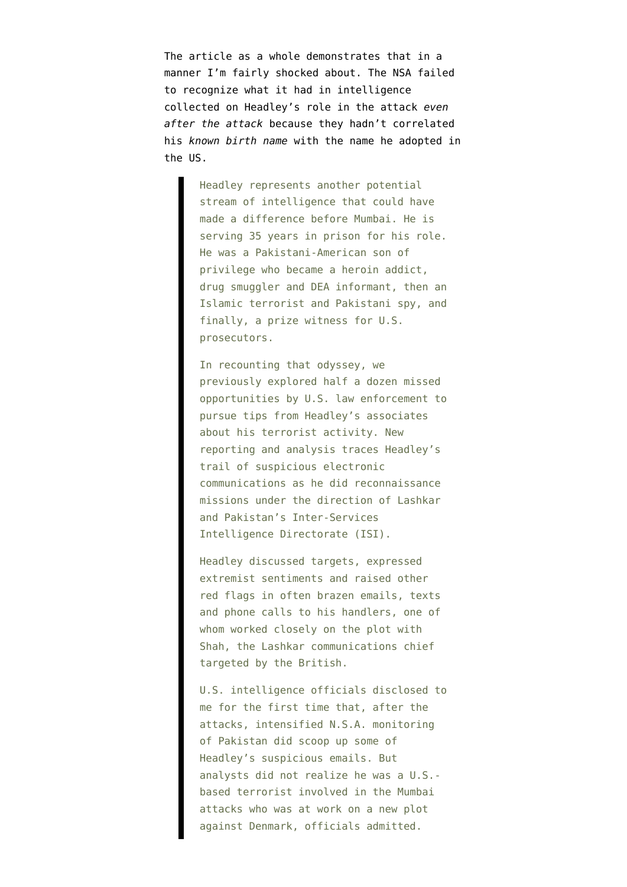The article as a whole demonstrates that in a manner I'm fairly shocked about. The NSA failed to recognize what it had in intelligence collected on Headley's role in the attack *even after the attack* because they hadn't correlated his *known birth name* with the name he adopted in the US.

> Headley represents another potential stream of intelligence that could have made a difference before Mumbai. He is serving 35 years in prison for his role. He was a Pakistani-American son of privilege who became a heroin addict, drug smuggler and DEA informant, then an Islamic terrorist and Pakistani spy, and finally, a prize witness for U.S. prosecutors.

> In recounting that odyssey, we previously explored half a dozen missed opportunities by U.S. law enforcement to pursue tips from Headley's associates about his terrorist activity. New reporting and analysis traces Headley's trail of suspicious electronic communications as he did reconnaissance missions under the direction of Lashkar and Pakistan's Inter-Services Intelligence Directorate (ISI).

Headley discussed targets, expressed extremist sentiments and raised other red flags in often brazen emails, texts and phone calls to his handlers, one of whom worked closely on the plot with Shah, the Lashkar communications chief targeted by the British.

U.S. intelligence officials disclosed to me for the first time that, after the attacks, intensified N.S.A. monitoring of Pakistan did scoop up some of Headley's suspicious emails. But analysts did not realize he was a U.S. based terrorist involved in the Mumbai attacks who was at work on a new plot against Denmark, officials admitted.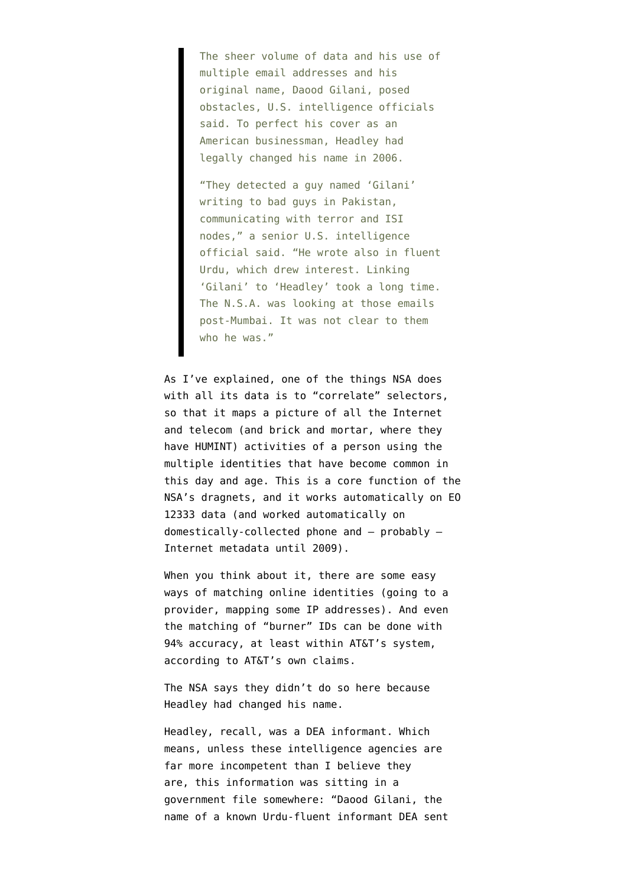The sheer volume of data and his use of multiple email addresses and his original name, Daood Gilani, posed obstacles, U.S. intelligence officials said. To perfect his cover as an American businessman, Headley had legally changed his name in 2006.

"They detected a guy named 'Gilani' writing to bad guys in Pakistan, communicating with terror and ISI nodes," a senior U.S. intelligence official said. "He wrote also in fluent Urdu, which drew interest. Linking 'Gilani' to 'Headley' took a long time. The N.S.A. was looking at those emails post-Mumbai. It was not clear to them who he was."

As I've [explained,](https://www.emptywheel.net/2014/04/08/the-august-20-2008-correlations-opinion/) one of the things NSA does with all its data is to "correlate" selectors, so that it maps a picture of all the Internet and telecom (and brick and mortar, where they have HUMINT) activities of a person using the multiple identities that have become common in this day and age. This is a core function of the NSA's dragnets, and it works automatically on EO 12333 data (and worked automatically on domestically-collected phone and — probably — Internet metadata until 2009).

When you think about it, there are some easy ways of matching online identities (going to a provider, mapping some IP addresses). And even the matching of "burner" IDs [can be done with](https://www.emptywheel.net/2014/09/15/the-hemisphere-decks-a-comparison-and-some-hypotheses/) [94% accuracy](https://www.emptywheel.net/2014/09/15/the-hemisphere-decks-a-comparison-and-some-hypotheses/), at least within AT&T's system, according to AT&T's own claims.

The NSA says they didn't do so here because Headley had changed his name.

Headley, recall, was a DEA informant. Which means, unless these intelligence agencies are far more incompetent than I believe they are, this information was sitting in a government file somewhere: "Daood Gilani, the name of a known Urdu-fluent informant DEA sent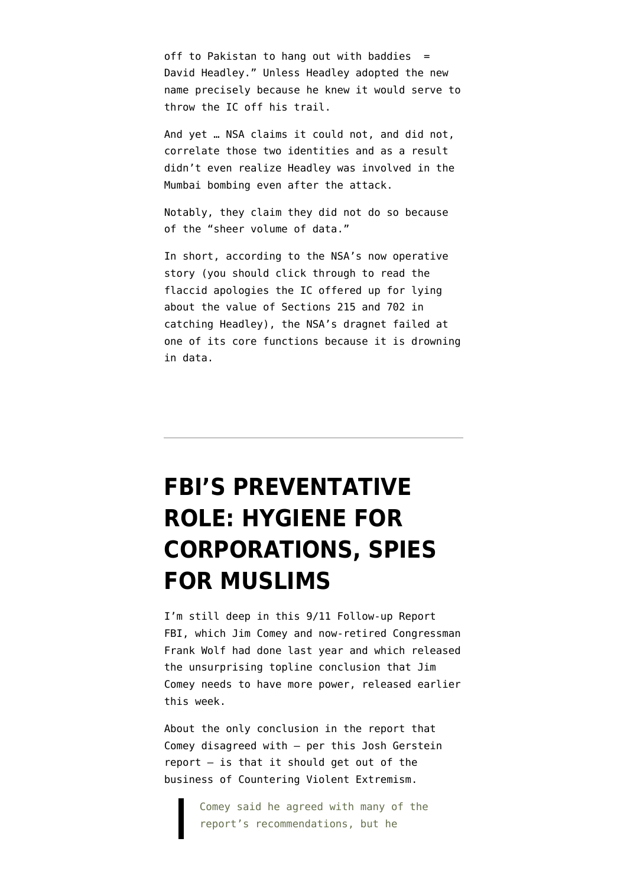off to Pakistan to hang out with baddies  $=$ David Headley." Unless Headley adopted the new name precisely because he knew it would serve to throw the IC off his trail.

And yet … NSA claims it could not, and did not, correlate those two identities and as a result didn't even realize Headley was involved in the Mumbai bombing even after the attack.

Notably, they claim they did not do so because of the "sheer volume of data."

In short, according to the NSA's now operative story (you should [click through](http://www.propublica.org/article/the-hidden-intelligence-breakdowns-behind-the-mumbai-attacks?utm_campaign=sprout&utm_medium=social&utm_source=twitter&utm_content=1429617626) to read the flaccid apologies the IC offered up for lying about the value of Sections 215 and 702 in catching Headley), the NSA's dragnet failed at one of its core functions because it is drowning in data.

# **[FBI'S PREVENTATIVE](https://www.emptywheel.net/2015/03/27/fbis-preventative-role-hygiene-for-corporations-spies-for-muslims/) [ROLE: HYGIENE FOR](https://www.emptywheel.net/2015/03/27/fbis-preventative-role-hygiene-for-corporations-spies-for-muslims/) [CORPORATIONS, SPIES](https://www.emptywheel.net/2015/03/27/fbis-preventative-role-hygiene-for-corporations-spies-for-muslims/) [FOR MUSLIMS](https://www.emptywheel.net/2015/03/27/fbis-preventative-role-hygiene-for-corporations-spies-for-muslims/)**

I'm still deep in this [9/11 Follow-up Report](http://www.fbi.gov/stats-services/publications/protecting-the-homeland-in-the-21st-century) [FBI,](http://www.fbi.gov/stats-services/publications/protecting-the-homeland-in-the-21st-century) which Jim Comey and now-retired Congressman Frank Wolf had done last year and which released the unsurprising topline conclusion that Jim Comey needs to have more power, released earlier this week.

About the only conclusion in the report that Comey disagreed with — [per this Josh Gerstein](http://www.politico.com/story/2015/03/sept-11-panel-report-fbi-116388.html) [report](http://www.politico.com/story/2015/03/sept-11-panel-report-fbi-116388.html) — is that it should get out of the business of Countering Violent Extremism.

> Comey said he agreed with many of the report's recommendations, but he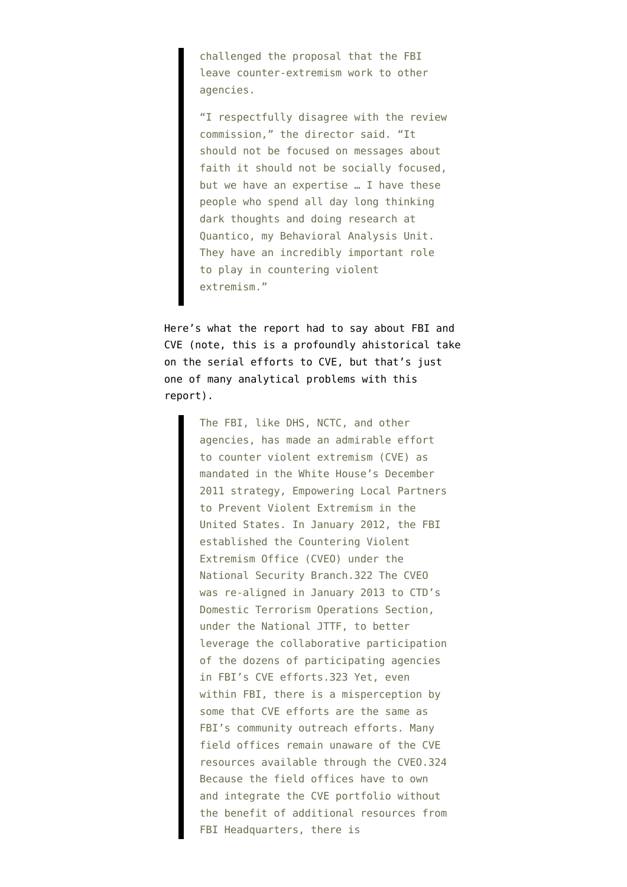challenged the proposal that the FBI leave counter-extremism work to other agencies.

"I respectfully disagree with the review commission," the director said. "It should not be focused on messages about faith it should not be socially focused, but we have an expertise … I have these people who spend all day long thinking dark thoughts and doing research at Quantico, my Behavioral Analysis Unit. They have an incredibly important role to play in countering violent extremism."

Here's what the report had to say about FBI and CVE (note, this is a profoundly ahistorical take on [the serial efforts to CVE](https://www.emptywheel.net/2014/10/06/one-reason-were-losing-the-war-against-terrorism/), but that's just one of many analytical problems with this report).

> The FBI, like DHS, NCTC, and other agencies, has made an admirable effort to counter violent extremism (CVE) as mandated in the White House's December 2011 strategy, Empowering Local Partners to Prevent Violent Extremism in the United States. In January 2012, the FBI established the Countering Violent Extremism Office (CVEO) under the National Security Branch.322 The CVEO was re-aligned in January 2013 to CTD's Domestic Terrorism Operations Section, under the National JTTF, to better leverage the collaborative participation of the dozens of participating agencies in FBI's CVE efforts.323 Yet, even within FBI, there is a misperception by some that CVE efforts are the same as FBI's community outreach efforts. Many field offices remain unaware of the CVE resources available through the CVEO.324 Because the field offices have to own and integrate the CVE portfolio without the benefit of additional resources from FBI Headquarters, there is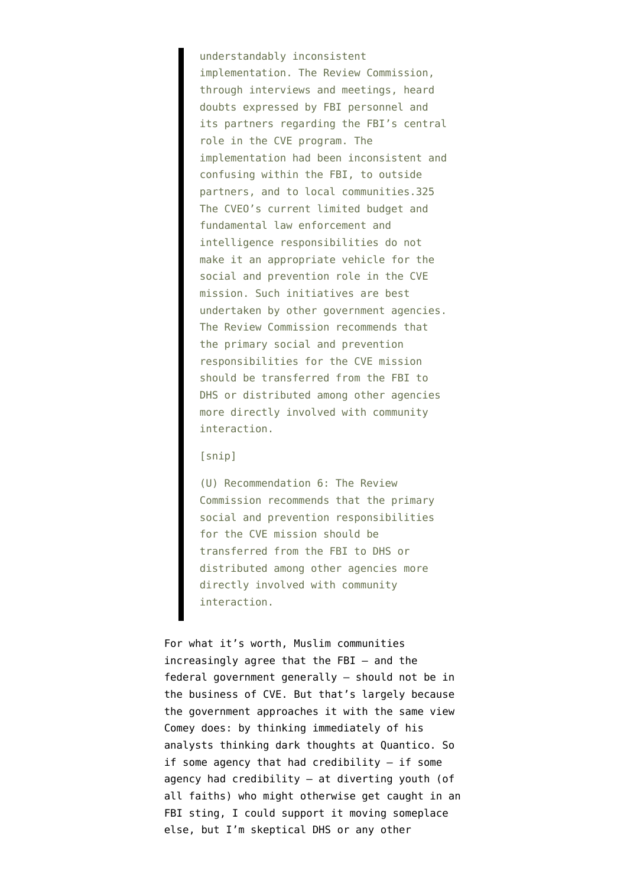understandably inconsistent implementation. The Review Commission, through interviews and meetings, heard doubts expressed by FBI personnel and its partners regarding the FBI's central role in the CVE program. The implementation had been inconsistent and confusing within the FBI, to outside partners, and to local communities.325 The CVEO's current limited budget and fundamental law enforcement and intelligence responsibilities do not make it an appropriate vehicle for the social and prevention role in the CVE mission. Such initiatives are best undertaken by other government agencies. The Review Commission recommends that the primary social and prevention responsibilities for the CVE mission should be transferred from the FBI to DHS or distributed among other agencies more directly involved with community interaction.

#### [snip]

(U) Recommendation 6: The Review Commission recommends that the primary social and prevention responsibilities for the CVE mission should be transferred from the FBI to DHS or distributed among other agencies more directly involved with community interaction.

For what it's worth, Muslim communities increasingly agree that the FBI — and the federal government generally — should not be in the business of CVE. But that's largely because the government approaches it with the same view Comey does: by thinking immediately of his analysts thinking dark thoughts at Quantico. So if some agency that had credibility — if some agency had credibility — at diverting youth (of all faiths) who might otherwise get caught in an FBI sting, I could support it moving someplace else, but I'm skeptical DHS or any other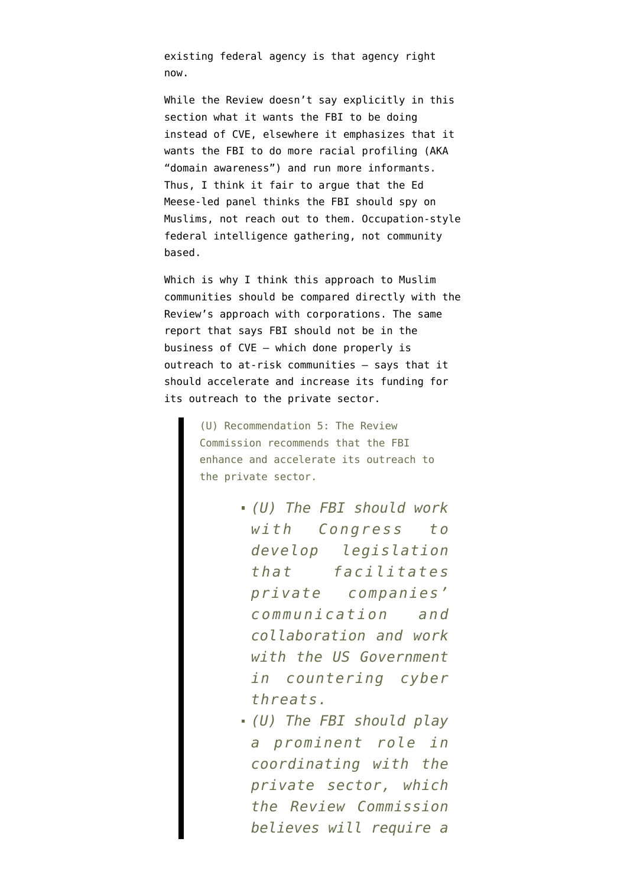existing federal agency is that agency right now.

While the Review doesn't say explicitly in this section what it wants the FBI to be doing instead of CVE, elsewhere it emphasizes that it wants the FBI to [do more racial profiling](https://www.emptywheel.net/2015/03/26/fbi-field-offices-dont-see-the-point-in-racial-profiling/) (AKA "domain awareness") and run more informants. Thus, I think it fair to argue that the Ed Meese-led panel thinks the FBI should spy on Muslims, not reach out to them. Occupation-style federal intelligence gathering, not community based.

Which is why I think this approach to Muslim communities should be compared directly with the Review's approach with corporations. The same report that says FBI should not be in the business of CVE — which done properly is outreach to at-risk communities — says that it should accelerate and increase its funding for its outreach to the private sector.

> (U) Recommendation 5: The Review Commission recommends that the FBI enhance and accelerate its outreach to the private sector.

- *(U) The FBI should work with Congress to develop legislation that facilitates private companies' communication and collaboration and work with the US Government in countering cyber threats.*
- *(U) The FBI should play a prominent role in coordinating with the private sector, which the Review Commission believes will require a*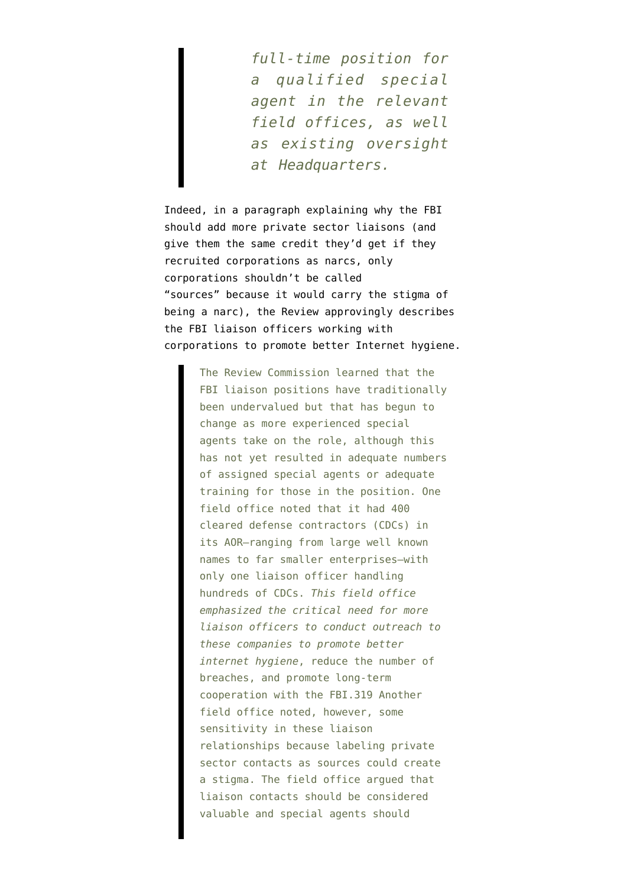*full-time position for a qualified special agent in the relevant field offices, as well as existing oversight at Headquarters.*

Indeed, in a paragraph explaining why the FBI should add more private sector liaisons (and give them the same credit they'd get if they recruited corporations as narcs, only corporations shouldn't be called "sources" because it would carry the stigma of being a narc), the Review approvingly describes the FBI liaison officers working with corporations to promote better Internet hygiene.

> The Review Commission learned that the FBI liaison positions have traditionally been undervalued but that has begun to change as more experienced special agents take on the role, although this has not yet resulted in adequate numbers of assigned special agents or adequate training for those in the position. One field office noted that it had 400 cleared defense contractors (CDCs) in its AOR—ranging from large well known names to far smaller enterprises—with only one liaison officer handling hundreds of CDCs. *This field office emphasized the critical need for more liaison officers to conduct outreach to these companies to promote better internet hygiene*, reduce the number of breaches, and promote long-term cooperation with the FBI.319 Another field office noted, however, some sensitivity in these liaison relationships because labeling private sector contacts as sources could create a stigma. The field office argued that liaison contacts should be considered valuable and special agents should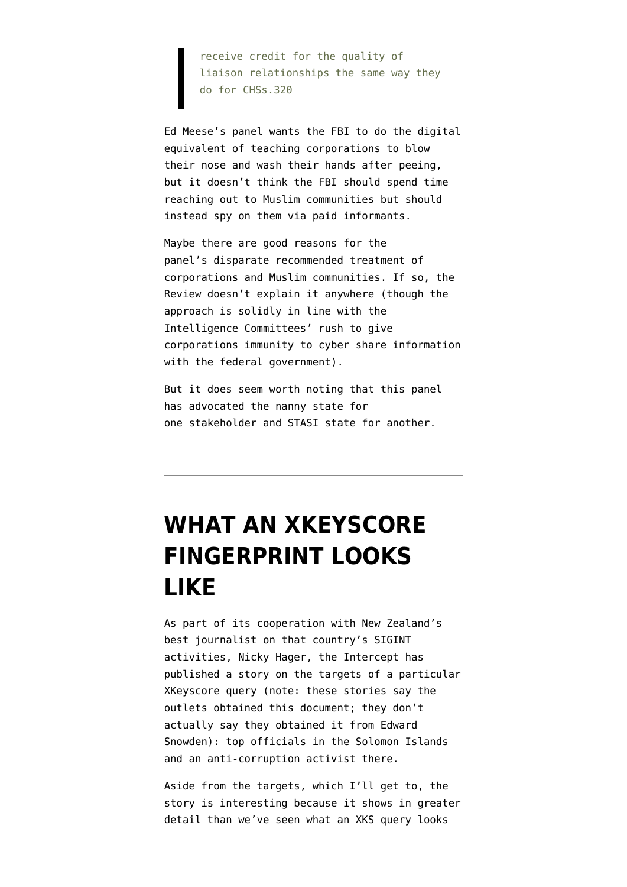receive credit for the quality of liaison relationships the same way they do for CHSs.320

Ed Meese's panel wants the FBI to do the digital equivalent of teaching corporations to blow their nose and wash their hands after peeing, but it doesn't think the FBI should spend time reaching out to Muslim communities but should instead spy on them via paid informants.

Maybe there are good reasons for the panel's disparate recommended treatment of corporations and Muslim communities. If so, the Review doesn't explain it anywhere (though the approach is solidly in line with the Intelligence Committees' rush to give corporations immunity to cyber share information with the federal government).

But it does seem worth noting that this panel has advocated the nanny state for one stakeholder and STASI state for another.

# **[WHAT AN XKEYSCORE](https://www.emptywheel.net/2015/03/15/what-an-xkeyscore-fingerprint-looks-like/) [FINGERPRINT LOOKS](https://www.emptywheel.net/2015/03/15/what-an-xkeyscore-fingerprint-looks-like/) [LIKE](https://www.emptywheel.net/2015/03/15/what-an-xkeyscore-fingerprint-looks-like/)**

As part of its cooperation with New Zealand's best journalist on that country's SIGINT activities, Nicky Hager, the Intercept has published a [story](https://firstlook.org/theintercept/2015/03/14/new-zealand-xkeyscore-solomon-islands-nsa-targets/) on the targets of a particular [XKeyscore query](https://www.documentcloud.org/documents/1687163-si-decrypt.html) (note: these stories say the outlets obtained this document; they don't actually say they obtained it from Edward Snowden): top officials in the Solomon Islands and an anti-corruption activist there.

Aside from the targets, which I'll get to, the story is interesting because it shows in greater detail than we've seen what an XKS query looks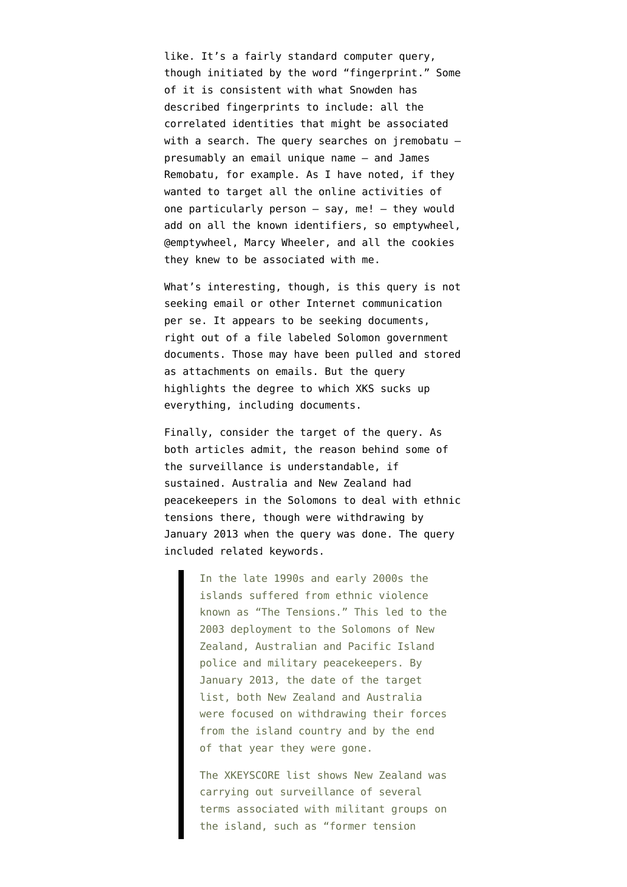like. It's a fairly standard computer query, though initiated by the word "fingerprint." Some of it is consistent with what Snowden [has](https://www.emptywheel.net/2014/04/09/fingerprints-and-the-phone-dragnets-secret-correlations-order/) [described](https://www.emptywheel.net/2014/04/09/fingerprints-and-the-phone-dragnets-secret-correlations-order/) fingerprints to include: all the correlated identities that might be associated with a search. The query searches on jremobatu  $$ presumably an email unique name — and James Remobatu, for example. As I have noted, if they wanted to target all the online activities of one particularly person  $-$  say, me!  $-$  they would add on all the known identifiers, so emptywheel, @emptywheel, Marcy Wheeler, and all the cookies they knew to be associated with me.

What's interesting, though, is this query is not seeking email or other Internet communication per se. It appears to be seeking documents, right out of a file labeled Solomon government documents. Those may have been pulled and stored as attachments on emails. But the query highlights the degree to which XKS sucks up everything, including documents.

Finally, consider the target of the query. As both articles admit, the reason behind some of the surveillance is understandable, if sustained. Australia and New Zealand had peacekeepers in the Solomons to deal with ethnic tensions there, though were withdrawing by January 2013 when the query was done. The query included related keywords.

> In the late 1990s and early 2000s the islands suffered from ethnic violence known as "The Tensions." This led to the 2003 deployment to the Solomons of New Zealand, Australian and Pacific Island police and military peacekeepers. By January 2013, the date of the target list, both New Zealand and Australia were focused on withdrawing their forces from the island country and by the end of that year they were gone.

> The XKEYSCORE list shows New Zealand was carrying out surveillance of several terms associated with militant groups on the island, such as "former tension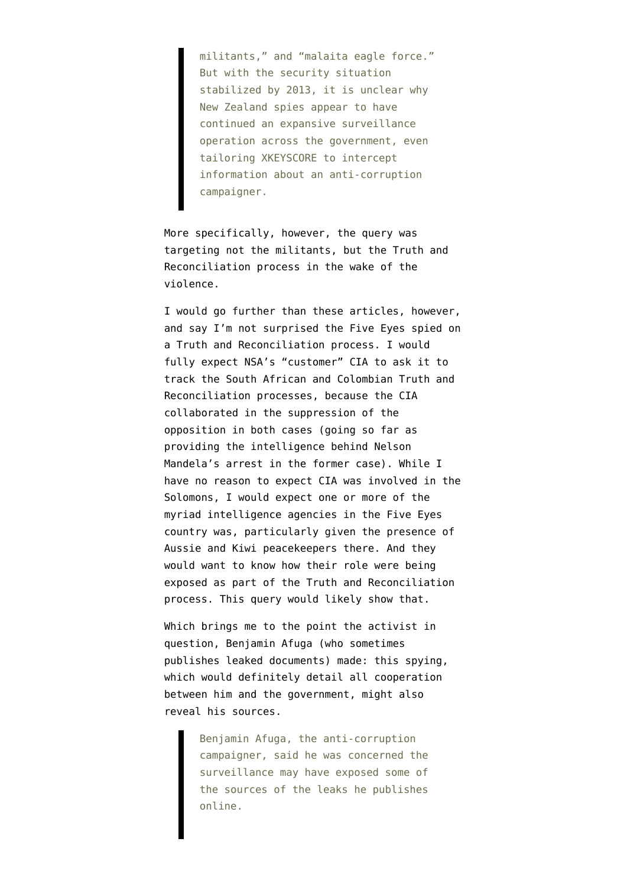militants," and "malaita eagle force." But with the security situation stabilized by 2013, it is unclear why New Zealand spies appear to have continued an expansive surveillance operation across the government, even tailoring XKEYSCORE to intercept information about an anti-corruption campaigner.

More specifically, however, the query was targeting not the militants, but the Truth and Reconciliation process in the wake of the violence.

I would go further than these articles, however, and say I'm not surprised the Five Eyes spied on a Truth and Reconciliation process. I would fully expect NSA's "customer" CIA to ask it to track the South African and Colombian Truth and Reconciliation processes, because the CIA collaborated in the suppression of the opposition in both cases (going so far as providing the intelligence behind Nelson Mandela's arrest in the former case). While I have no reason to expect CIA was involved in the Solomons, I would expect one or more of the myriad intelligence agencies in the Five Eyes country was, particularly given the presence of Aussie and Kiwi peacekeepers there. And they would want to know how their role were being exposed as part of the Truth and Reconciliation process. This query would likely show that.

Which brings me to the point the activist in question, Benjamin Afuga (who sometimes publishes leaked documents) made: this spying, which would definitely detail all cooperation between him and the government, might also reveal his sources.

> Benjamin Afuga, the anti-corruption campaigner, said he was concerned the surveillance may have exposed some of the sources of the leaks he publishes online.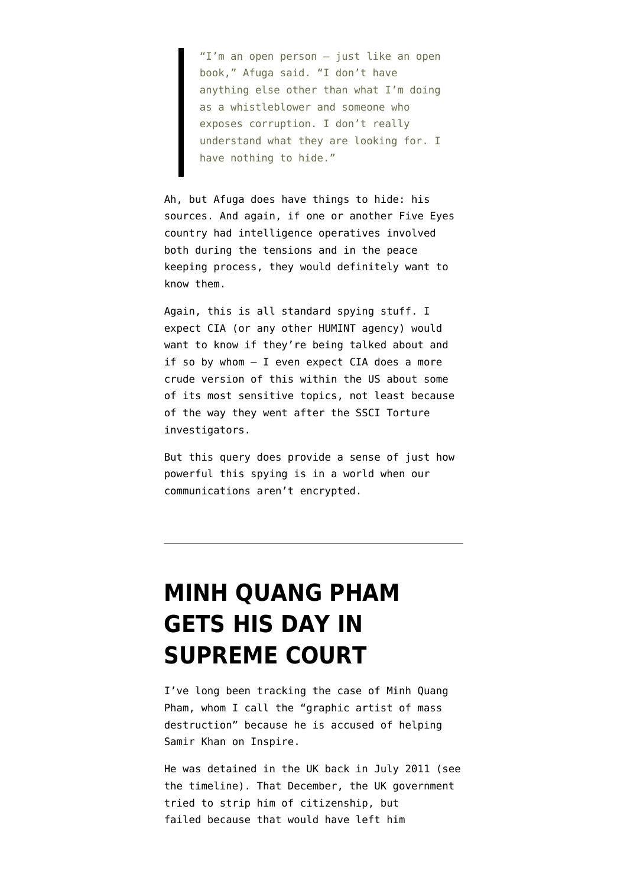"I'm an open person – just like an open book," Afuga said. "I don't have anything else other than what I'm doing as a whistleblower and someone who exposes corruption. I don't really understand what they are looking for. I have nothing to hide."

Ah, but Afuga does have things to hide: his sources. And again, if one or another Five Eyes country had intelligence operatives involved both during the tensions and in the peace keeping process, they would definitely want to know them.

Again, this is all standard spying stuff. I expect CIA (or any other HUMINT agency) would want to know if they're being talked about and if so by whom — I even expect CIA does a more crude version of this within the US about some of its most sensitive topics, not least because of the way they went after the SSCI Torture investigators.

But this query does provide a sense of just how powerful this spying is in a world when our communications aren't encrypted.

## **[MINH QUANG PHAM](https://www.emptywheel.net/2014/11/19/minh-quang-pham-gets-his-day-in-supreme-court/) [GETS HIS DAY IN](https://www.emptywheel.net/2014/11/19/minh-quang-pham-gets-his-day-in-supreme-court/) [SUPREME COURT](https://www.emptywheel.net/2014/11/19/minh-quang-pham-gets-his-day-in-supreme-court/)**

I've long been tracking the case of Minh Quang Pham, whom I call the "graphic artist of mass destruction" because he is accused of helping Samir Khan on Inspire.

He was detained in the UK back in July 2011 (see [the timeline](https://www.emptywheel.net/2013/02/27/does-this-explain-why-minh-quang-pham-is-languishing-away/)). That December, the UK government tried to strip him of citizenship, but failed because that would have left him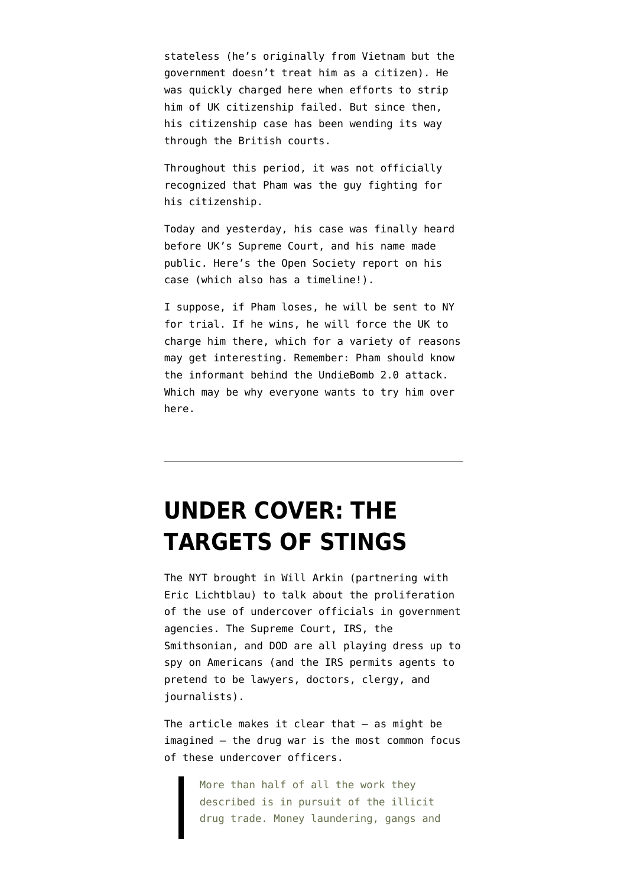stateless (he's originally from Vietnam but the government doesn't treat him as a citizen). He was quickly charged here when efforts to strip him of UK citizenship failed. But since then, his citizenship case has been wending its way through the British courts.

Throughout this period, it was not officially recognized that Pham was the guy fighting for his citizenship.

Today and yesterday, his case was finally heard before UK's Supreme Court, and his name made public. Here's the Open Society report on his case [\(which also has a timeline!](http://www.opensocietyfoundations.org/litigation/pham-v-home-secretary)).

I suppose, if Pham loses, he will be sent to NY for trial. If he wins, he will force the UK to charge him there, which for a variety of reasons may get interesting. Remember: Pham should know the informant behind the UndieBomb 2.0 attack. Which may be why everyone wants to try him over here.

# **[UNDER COVER: THE](https://www.emptywheel.net/2014/11/16/under-cover-the-targets-of-stings/) [TARGETS OF STINGS](https://www.emptywheel.net/2014/11/16/under-cover-the-targets-of-stings/)**

The NYT brought in Will Arkin (partnering with Eric Lichtblau) to [talk about](http://www.nytimes.com/2014/11/16/us/more-federal-agencies-are-using-undercover-operations.html) the proliferation of the use of undercover officials in government agencies. The Supreme Court, IRS, the Smithsonian, and DOD are all playing dress up to spy on Americans (and the IRS permits agents to pretend to be lawyers, doctors, clergy, and journalists).

The article makes it clear that — as might be imagined — the drug war is the most common focus of these undercover officers.

> More than half of all the work they described is in pursuit of the illicit drug trade. Money laundering, gangs and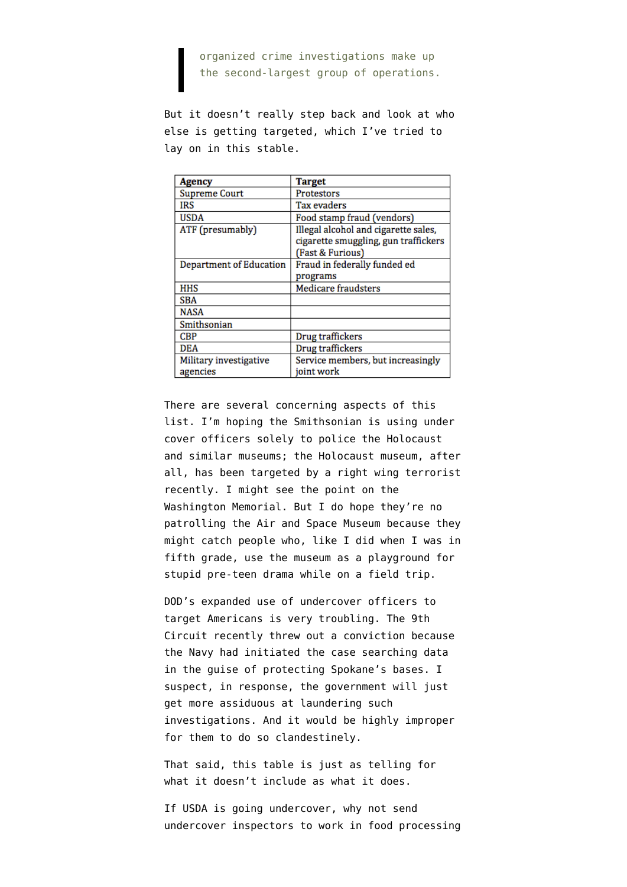organized crime investigations make up the second-largest group of operations.

But it doesn't really step back and look at who else is getting targeted, which I've tried to lay on in this stable.

| Agency                             | <b>Target</b>                                                                                    |
|------------------------------------|--------------------------------------------------------------------------------------------------|
| <b>Supreme Court</b>               | <b>Protestors</b>                                                                                |
| <b>IRS</b>                         | Tax evaders                                                                                      |
| <b>USDA</b>                        | Food stamp fraud (vendors)                                                                       |
| ATF (presumably)                   | Illegal alcohol and cigarette sales,<br>cigarette smuggling, gun traffickers<br>(Fast & Furious) |
| Department of Education            | Fraud in federally funded ed<br>programs                                                         |
| <b>HHS</b>                         | Medicare fraudsters                                                                              |
| <b>SBA</b>                         |                                                                                                  |
| <b>NASA</b>                        |                                                                                                  |
| Smithsonian                        |                                                                                                  |
| CBP                                | Drug traffickers                                                                                 |
| DEA                                | Drug traffickers                                                                                 |
| Military investigative<br>agencies | Service members, but increasingly<br>joint work                                                  |

There are several concerning aspects of this list. I'm hoping the Smithsonian is using under cover officers solely to police the Holocaust and similar museums; the Holocaust museum, after all, has been targeted by a right wing terrorist recently. I might see the point on the Washington Memorial. But I do hope they're no patrolling the Air and Space Museum because they might catch people who, like I did when I was in fifth grade, use the museum as a playground for stupid pre-teen drama while on a field trip.

DOD's expanded use of undercover officers to target Americans is very troubling. The 9th Circuit recently [threw out](http://www.reuters.com/article/2014/09/18/us-usa-washington-surveillance-idUSKBN0HD2EU20140918) a conviction because the Navy had initiated the case searching data in the guise of protecting Spokane's bases. I suspect, in response, the government will just get more assiduous at laundering such investigations. And it would be highly improper for them to do so clandestinely.

That said, this table is just as telling for what it doesn't include as what it does.

If USDA is going undercover, why not send undercover inspectors to work in food processing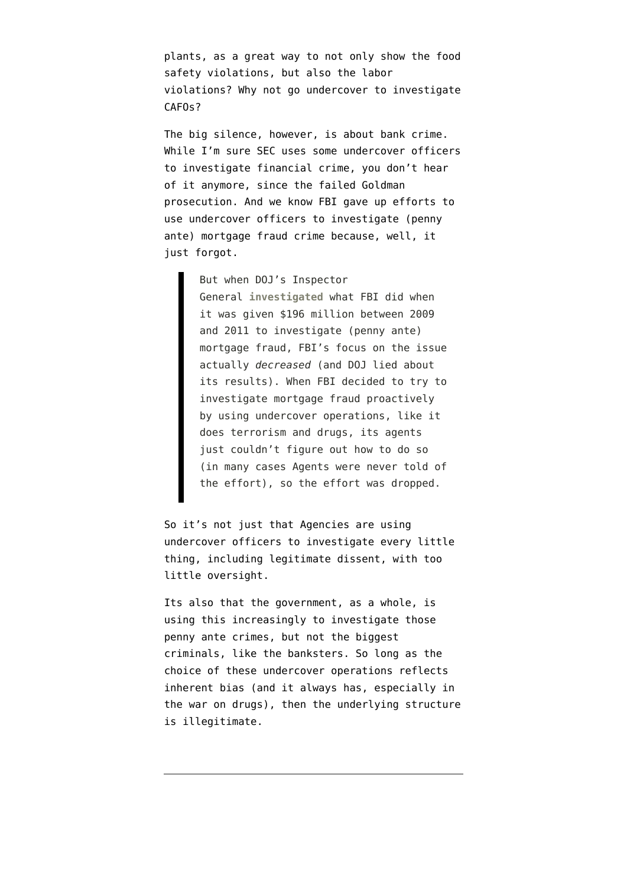plants, as a great way to not only show the food safety violations, but also the labor violations? Why not go undercover to investigate CAFOs?

The big silence, however, is about bank crime. While I'm sure SEC uses some undercover officers to investigate financial crime, you don't hear of it anymore, since the failed Goldman prosecution. And we know FBI [gave up efforts](https://www.emptywheel.net/2014/07/24/in-a-nation-ravaged-by-banksters-fbi-cant-afford-the-luxury-of-stings/) to use undercover officers to investigate (penny ante) mortgage fraud crime because, well, it just forgot.

> But when DOJ's Inspector General **[investigated](http://www.justice.gov/oig/reports/2014/a1412.pdf)** what FBI did when it was given \$196 million between 2009 and 2011 to investigate (penny ante) mortgage fraud, FBI's focus on the issue actually *decreased* (and DOJ lied about its results). When FBI decided to try to investigate mortgage fraud proactively by using undercover operations, like it does terrorism and drugs, its agents just couldn't figure out how to do so (in many cases Agents were never told of the effort), so the effort was dropped.

So it's not just that Agencies are using undercover officers to investigate every little thing, including legitimate dissent, with too little oversight.

Its also that the government, as a whole, is using this increasingly to investigate those penny ante crimes, but not the biggest criminals, like the banksters. So long as the choice of these undercover operations reflects inherent bias (and it always has, especially in the war on drugs), then the underlying structure is illegitimate.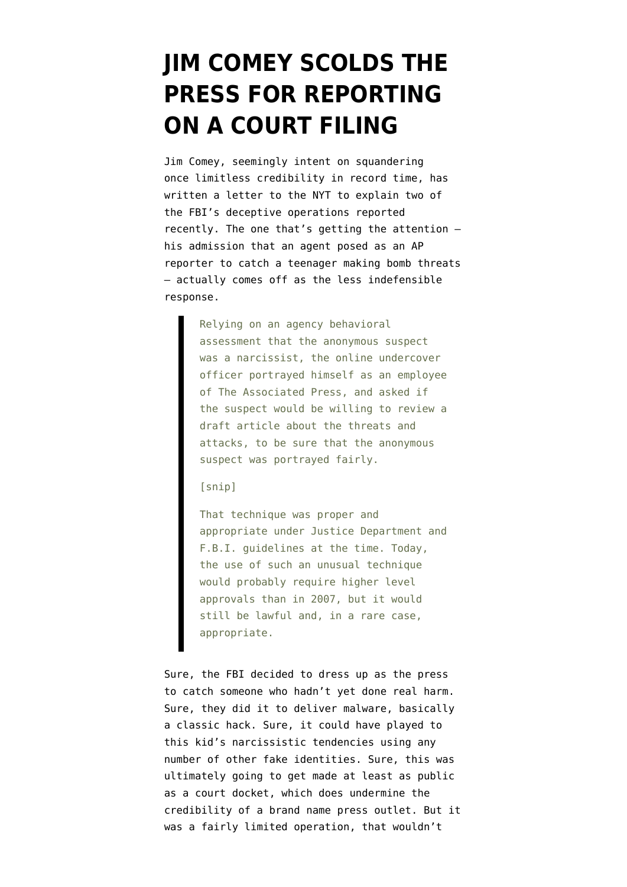# **[JIM COMEY SCOLDS THE](https://www.emptywheel.net/2014/11/07/jim-comey-scolds-the-press-for-reporting-on-a-court-filing/) [PRESS FOR REPORTING](https://www.emptywheel.net/2014/11/07/jim-comey-scolds-the-press-for-reporting-on-a-court-filing/) [ON A COURT FILING](https://www.emptywheel.net/2014/11/07/jim-comey-scolds-the-press-for-reporting-on-a-court-filing/)**

Jim Comey, seemingly intent on squandering once limitless credibility in record time, has [written a letter to the NYT](http://www.nytimes.com/2014/11/07/opinion/to-catch-a-crook-the-fbis-use-of-deception.html?smid=nytcore-iphone-share&smprod=nytcore-iphone&_r=0) to explain two of the FBI's deceptive operations reported recently. The one that's getting the attention his admission that an agent [posed as an AP](http://bigstory.ap.org/article/89470f11697641518c1043aab01773ac/fbi-admits-agent-impersonated-ap-reporter) [reporter](http://bigstory.ap.org/article/89470f11697641518c1043aab01773ac/fbi-admits-agent-impersonated-ap-reporter) to catch a teenager making bomb threats — actually comes off as the less indefensible response.

> Relying on an agency behavioral assessment that the anonymous suspect was a narcissist, the online undercover officer portrayed himself as an employee of The Associated Press, and asked if the suspect would be willing to review a draft article about the threats and attacks, to be sure that the anonymous suspect was portrayed fairly.

[snip]

That technique was proper and appropriate under Justice Department and F.B.I. guidelines at the time. Today, the use of such an unusual technique would probably require higher level approvals than in 2007, but it would still be lawful and, in a rare case, appropriate.

Sure, the FBI decided to dress up as the press to catch someone who hadn't yet done real harm. Sure, they did it to deliver malware, basically a classic hack. Sure, it could have played to this kid's narcissistic tendencies using any number of other fake identities. Sure, this was ultimately going to get made at least as public as a court docket, which does undermine the credibility of a brand name press outlet. But it was a fairly limited operation, that wouldn't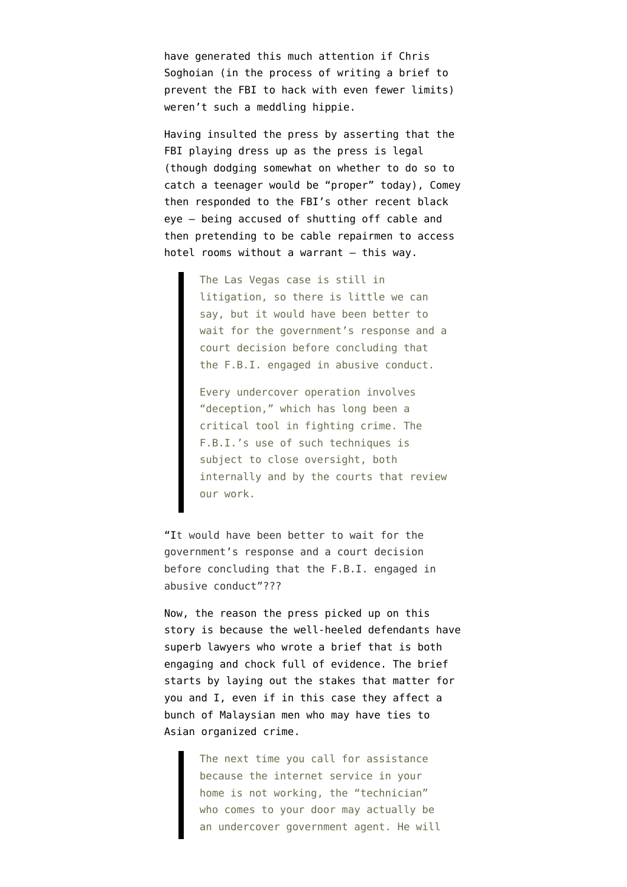have generated this much attention if Chris Soghoian (in the process of writing a [brief](https://www.aclu.org/sites/default/files/assets/aclu_comment_on_remote_access_proposal.pdf) to prevent the FBI to hack with even fewer limits) [weren't such a meddling hippie.](http://seattletimes.com/html/localnews/2024888170_fbinewspaper1xml.html)

Having insulted the press by asserting that the FBI playing dress up as the press is legal (though dodging somewhat on whether to do so to catch a teenager would be "proper" today), Comey then responded to the FBI's other recent black eye — [being accused of shutting off cable and](http://bigstory.ap.org/article/eaa89994bcea415d87d6733f5dd21fc6/court-filing-fbi-impersonated-geek-squad-ruse) [then pretending to be cable repairmen](http://bigstory.ap.org/article/eaa89994bcea415d87d6733f5dd21fc6/court-filing-fbi-impersonated-geek-squad-ruse) to access hotel rooms without a warrant — this way.

> The Las Vegas case is still in litigation, so there is little we can say, but it would have been better to wait for the government's response and a court decision before concluding that the F.B.I. engaged in abusive conduct.

> Every undercover operation involves "deception," which has long been a critical tool in fighting crime. The F.B.I.'s use of such techniques is subject to close oversight, both internally and by the courts that review our work.

"It would have been better to wait for the government's response and a court decision before concluding that the F.B.I. engaged in abusive conduct"???

Now, the reason the press picked up on this story is because the well-heeled defendants have superb lawyers who wrote [a brief](https://www.documentcloud.org/documents/1348666-motion.html) that is both engaging and chock full of evidence. The brief starts by laying out the stakes that matter for you and I, even if in this case they affect a bunch of Malaysian men who may have ties to Asian organized crime.

> The next time you call for assistance because the internet service in your home is not working, the "technician" who comes to your door may actually be an undercover government agent. He will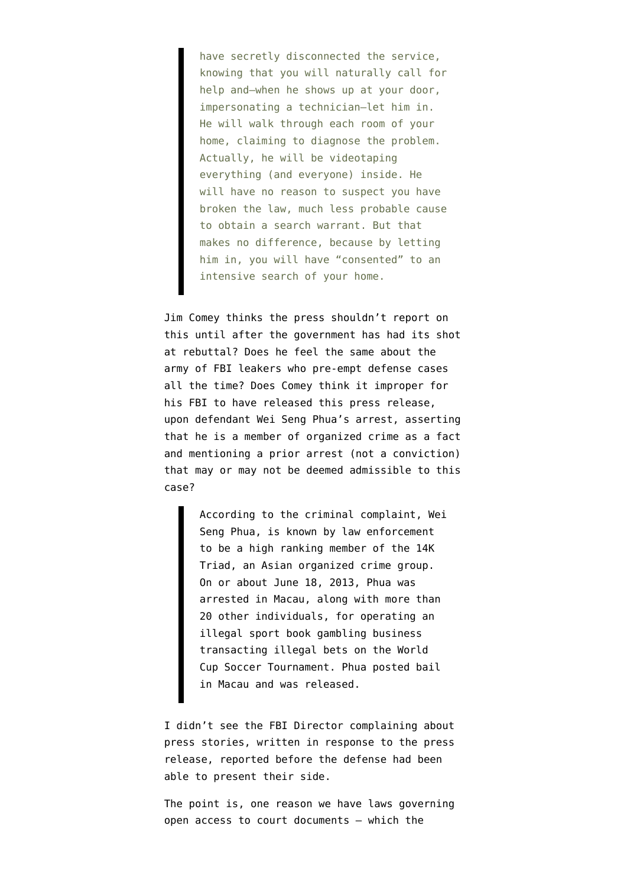have secretly disconnected the service, knowing that you will naturally call for help and–when he shows up at your door, impersonating a technician–let him in. He will walk through each room of your home, claiming to diagnose the problem. Actually, he will be videotaping everything (and everyone) inside. He will have no reason to suspect you have broken the law, much less probable cause to obtain a search warrant. But that makes no difference, because by letting him in, you will have "consented" to an intensive search of your home.

Jim Comey thinks the press shouldn't report on this until after the government has had its shot at rebuttal? Does he feel the same about the army of FBI leakers who pre-empt defense cases all the time? Does Comey think it improper for his FBI to have released this [press release](http://www.fbi.gov/lasvegas/press-releases/2014/eight-persons-charged-in-las-vegas-with-running-illegal-gambling-operation-from-local-casino), upon defendant Wei Seng Phua's arrest, asserting that he is a member of organized crime as a fact and mentioning a prior arrest (not a conviction) that may or may not be deemed admissible to this case?

> According to the criminal complaint, Wei Seng Phua, is known by law enforcement to be a high ranking member of the 14K Triad, an Asian organized crime group. On or about June 18, 2013, Phua was arrested in Macau, along with more than 20 other individuals, for operating an illegal sport book gambling business transacting illegal bets on the World Cup Soccer Tournament. Phua posted bail in Macau and was released.

I didn't see the FBI Director complaining about [press stories](http://www.telegraph.co.uk/news/worldnews/northamerica/usa/10967586/FBI-arrests-8-accused-of-illegal-World-Cup-betting-in-Las-Vegas.html), written in response to the press release, reported before the defense had been able to present their side.

The point is, one reason we have laws governing open access to court documents — which the